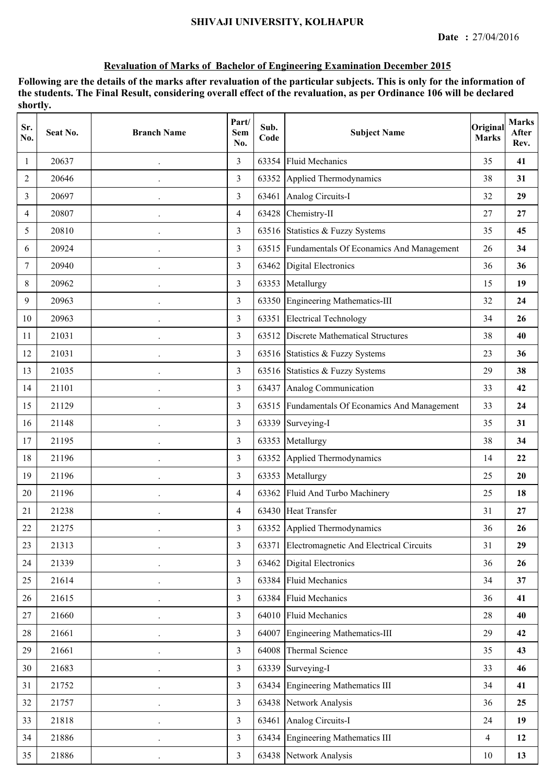| Sr.<br>No. | Seat No. | <b>Branch Name</b>   | Part/<br>Sem<br>No. | Sub.<br>Code | <b>Subject Name</b>                            | Original<br><b>Marks</b> | <b>Marks</b><br>After<br>Rev. |
|------------|----------|----------------------|---------------------|--------------|------------------------------------------------|--------------------------|-------------------------------|
| 1          | 20637    |                      | 3                   | 63354        | <b>Fluid Mechanics</b>                         | 35                       | 41                            |
| 2          | 20646    |                      | $\overline{3}$      |              | 63352 Applied Thermodynamics                   | 38                       | 31                            |
| 3          | 20697    |                      | 3                   |              | 63461 Analog Circuits-I                        | 32                       | 29                            |
| 4          | 20807    |                      | $\overline{4}$      |              | 63428 Chemistry-II                             | 27                       | 27                            |
| 5          | 20810    |                      | 3                   |              | 63516 Statistics & Fuzzy Systems               | 35                       | 45                            |
| 6          | 20924    |                      | $\overline{3}$      |              | 63515 Fundamentals Of Econamics And Management | 26                       | 34                            |
| 7          | 20940    |                      | $\overline{3}$      |              | 63462 Digital Electronics                      | 36                       | 36                            |
| 8          | 20962    |                      | 3                   | 63353        | Metallurgy                                     | 15                       | 19                            |
| 9          | 20963    |                      | 3                   |              | 63350 Engineering Mathematics-III              | 32                       | 24                            |
| 10         | 20963    |                      | $\overline{3}$      | 63351        | <b>Electrical Technology</b>                   | 34                       | 26                            |
| 11         | 21031    |                      | 3                   |              | 63512 Discrete Mathematical Structures         | 38                       | 40                            |
| 12         | 21031    | $\ddot{\phantom{0}}$ | 3                   |              | 63516 Statistics & Fuzzy Systems               | 23                       | 36                            |
| 13         | 21035    |                      | 3                   |              | 63516 Statistics & Fuzzy Systems               | 29                       | 38                            |
| 14         | 21101    |                      | $\overline{3}$      |              | 63437 Analog Communication                     | 33                       | 42                            |
| 15         | 21129    | $\ddot{\phantom{0}}$ | $\overline{3}$      |              | 63515 Fundamentals Of Econamics And Management | 33                       | 24                            |
| 16         | 21148    |                      | 3                   | 63339        | Surveying-I                                    | 35                       | 31                            |
| 17         | 21195    |                      | 3                   | 63353        | Metallurgy                                     | 38                       | 34                            |
| 18         | 21196    |                      | $\overline{3}$      | 63352        | Applied Thermodynamics                         | 14                       | 22                            |
| 19         | 21196    | $\ddot{\phantom{0}}$ | 3                   | 63353        | Metallurgy                                     | 25                       | 20                            |
| 20         | 21196    | $\ddot{\phantom{0}}$ | $\overline{4}$      |              | 63362 Fluid And Turbo Machinery                | 25                       | 18                            |
| 21         | 21238    |                      | $\overline{4}$      |              | 63430 Heat Transfer                            | 31                       | 27                            |
| 22         | 21275    |                      | 3                   |              | 63352 Applied Thermodynamics                   | 36                       | 26                            |
| 23         | 21313    |                      | $\overline{3}$      | 63371        | Electromagnetic And Electrical Circuits        | 31                       | 29                            |
| 24         | 21339    |                      | $\overline{3}$      | 63462        | Digital Electronics                            | 36                       | 26                            |
| 25         | 21614    |                      | $\overline{3}$      |              | 63384 Fluid Mechanics                          | 34                       | 37                            |
| 26         | 21615    |                      | $\overline{3}$      |              | 63384 Fluid Mechanics                          | 36                       | 41                            |
| 27         | 21660    |                      | $\overline{3}$      |              | 64010 Fluid Mechanics                          | 28                       | 40                            |
| 28         | 21661    |                      | $\overline{3}$      |              | 64007 Engineering Mathematics-III              | 29                       | 42                            |
| 29         | 21661    |                      | $\overline{3}$      | 64008        | Thermal Science                                | 35                       | 43                            |
| 30         | 21683    |                      | $\overline{3}$      | 63339        | Surveying-I                                    | 33                       | 46                            |
| 31         | 21752    |                      | $\overline{3}$      | 63434        | Engineering Mathematics III                    | 34                       | 41                            |
| 32         | 21757    |                      | $\overline{3}$      |              | 63438 Network Analysis                         | 36                       | 25                            |
| 33         | 21818    |                      | $\overline{3}$      |              | 63461 Analog Circuits-I                        | 24                       | 19                            |
| 34         | 21886    |                      | $\overline{3}$      |              | 63434 Engineering Mathematics III              | $\overline{\mathcal{L}}$ | 12                            |
| 35         | 21886    |                      | $\overline{3}$      |              | 63438 Network Analysis                         | 10                       | 13                            |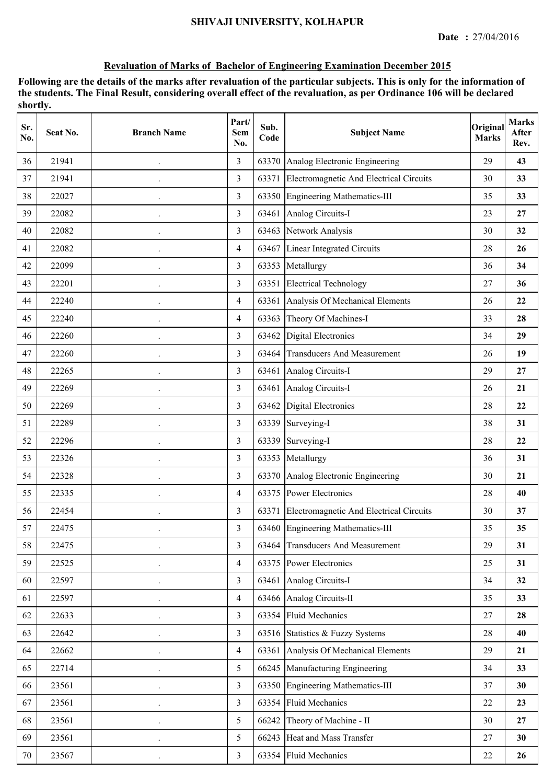| Sr.<br>No. | Seat No. | <b>Branch Name</b>   | Part/<br>Sem<br>No. | Sub.<br>Code | <b>Subject Name</b>                     | Original<br><b>Marks</b> | <b>Marks</b><br>After<br>Rev. |
|------------|----------|----------------------|---------------------|--------------|-----------------------------------------|--------------------------|-------------------------------|
| 36         | 21941    |                      | 3                   | 63370        | Analog Electronic Engineering           | 29                       | 43                            |
| 37         | 21941    |                      | $\overline{3}$      | 63371        | Electromagnetic And Electrical Circuits | 30                       | 33                            |
| 38         | 22027    |                      | 3                   |              | 63350 Engineering Mathematics-III       | 35                       | 33                            |
| 39         | 22082    |                      | 3                   |              | 63461 Analog Circuits-I                 | 23                       | 27                            |
| 40         | 22082    |                      | 3                   | 63463        | Network Analysis                        | 30                       | 32                            |
| 41         | 22082    |                      | $\overline{4}$      | 63467        | Linear Integrated Circuits              | 28                       | 26                            |
| 42         | 22099    |                      | 3                   | 63353        | Metallurgy                              | 36                       | 34                            |
| 43         | 22201    |                      | 3                   | 63351        | <b>Electrical Technology</b>            | 27                       | 36                            |
| 44         | 22240    |                      | $\overline{4}$      | 63361        | Analysis Of Mechanical Elements         | 26                       | 22                            |
| 45         | 22240    |                      | $\overline{4}$      | 63363        | Theory Of Machines-I                    | 33                       | 28                            |
| 46         | 22260    |                      | $\overline{3}$      | 63462        | Digital Electronics                     | 34                       | 29                            |
| 47         | 22260    | $\ddot{\phantom{0}}$ | 3                   | 63464        | <b>Transducers And Measurement</b>      | 26                       | 19                            |
| 48         | 22265    |                      | 3                   | 63461        | Analog Circuits-I                       | 29                       | 27                            |
| 49         | 22269    |                      | $\overline{3}$      |              | 63461 Analog Circuits-I                 | 26                       | 21                            |
| 50         | 22269    |                      | $\overline{3}$      | 63462        | Digital Electronics                     | 28                       | 22                            |
| 51         | 22289    |                      | $\overline{3}$      | 63339        | Surveying-I                             | 38                       | 31                            |
| 52         | 22296    |                      | 3                   | 63339        | Surveying-I                             | 28                       | 22                            |
| 53         | 22326    |                      | $\overline{3}$      | 63353        | Metallurgy                              | 36                       | 31                            |
| 54         | 22328    | $\bullet$            | $\overline{3}$      |              | 63370 Analog Electronic Engineering     | 30                       | 21                            |
| 55         | 22335    |                      | $\overline{4}$      |              | 63375 Power Electronics                 | 28                       | 40                            |
| 56         | 22454    |                      | 3                   | 63371        | Electromagnetic And Electrical Circuits | 30                       | 37                            |
| 57         | 22475    |                      | 3                   |              | 63460 Engineering Mathematics-III       | 35                       | 35                            |
| 58         | 22475    |                      | $\overline{3}$      |              | 63464 Transducers And Measurement       | 29                       | 31                            |
| 59         | 22525    |                      | $\overline{4}$      |              | 63375 Power Electronics                 | 25                       | 31                            |
| 60         | 22597    |                      | $\overline{3}$      |              | 63461 Analog Circuits-I                 | 34                       | 32                            |
| 61         | 22597    |                      | $\overline{4}$      |              | 63466 Analog Circuits-II                | 35                       | 33                            |
| 62         | 22633    | $\ddot{\phantom{0}}$ | $\overline{3}$      |              | 63354 Fluid Mechanics                   | 27                       | 28                            |
| 63         | 22642    |                      | $\overline{3}$      |              | 63516 Statistics & Fuzzy Systems        | 28                       | 40                            |
| 64         | 22662    |                      | $\overline{4}$      |              | 63361 Analysis Of Mechanical Elements   | 29                       | 21                            |
| 65         | 22714    |                      | 5                   |              | 66245 Manufacturing Engineering         | 34                       | 33                            |
| 66         | 23561    |                      | $\overline{3}$      |              | 63350 Engineering Mathematics-III       | 37                       | 30                            |
| 67         | 23561    |                      | $\overline{3}$      | 63354        | <b>Fluid Mechanics</b>                  | 22                       | 23                            |
| 68         | 23561    |                      | 5                   |              | 66242 Theory of Machine - II            | 30                       | 27                            |
| 69         | 23561    |                      | 5                   |              | 66243 Heat and Mass Transfer            | 27                       | 30                            |
| 70         | 23567    |                      | $\overline{3}$      |              | 63354 Fluid Mechanics                   | 22                       | 26                            |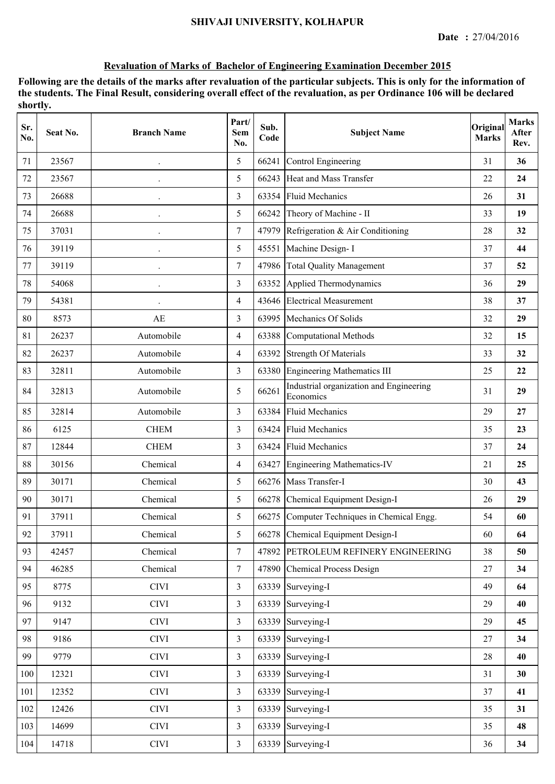| Sr.<br>No. | Seat No. | <b>Branch Name</b>   | Part/<br>Sem<br>No. | Sub.<br>Code | <b>Subject Name</b>                                  | Original<br><b>Marks</b> | <b>Marks</b><br>After<br>Rev. |
|------------|----------|----------------------|---------------------|--------------|------------------------------------------------------|--------------------------|-------------------------------|
| 71         | 23567    |                      | 5                   | 66241        | Control Engineering                                  | 31                       | 36                            |
| 72         | 23567    |                      | 5                   | 66243        | Heat and Mass Transfer                               | 22                       | 24                            |
| 73         | 26688    |                      | 3                   |              | 63354 Fluid Mechanics                                | 26                       | 31                            |
| 74         | 26688    | $\bullet$            | 5                   | 66242        | Theory of Machine - II                               | 33                       | 19                            |
| 75         | 37031    |                      | $\tau$              | 47979        | Refrigeration & Air Conditioning                     | 28                       | 32                            |
| 76         | 39119    |                      | 5                   | 45551        | Machine Design- I                                    | 37                       | 44                            |
| 77         | 39119    |                      | $\tau$              |              | 47986 Total Quality Management                       | 37                       | 52                            |
| 78         | 54068    | $\ddot{\phantom{0}}$ | 3                   | 63352        | Applied Thermodynamics                               | 36                       | 29                            |
| 79         | 54381    |                      | $\overline{4}$      | 43646        | <b>Electrical Measurement</b>                        | 38                       | 37                            |
| 80         | 8573     | AE                   | $\overline{3}$      | 63995        | Mechanics Of Solids                                  | 32                       | 29                            |
| 81         | 26237    | Automobile           | $\overline{4}$      | 63388        | Computational Methods                                | 32                       | 15                            |
| 82         | 26237    | Automobile           | 4                   | 63392        | <b>Strength Of Materials</b>                         | 33                       | 32                            |
| 83         | 32811    | Automobile           | 3                   |              | 63380 Engineering Mathematics III                    | 25                       | 22                            |
| 84         | 32813    | Automobile           | 5                   | 66261        | Industrial organization and Engineering<br>Economics | 31                       | 29                            |
| 85         | 32814    | Automobile           | 3                   | 63384        | <b>Fluid Mechanics</b>                               | 29                       | 27                            |
| 86         | 6125     | <b>CHEM</b>          | 3                   | 63424        | <b>Fluid Mechanics</b>                               | 35                       | 23                            |
| 87         | 12844    | <b>CHEM</b>          | 3                   | 63424        | <b>Fluid Mechanics</b>                               | 37                       | 24                            |
| 88         | 30156    | Chemical             | $\overline{4}$      | 63427        | Engineering Mathematics-IV                           | 21                       | 25                            |
| 89         | 30171    | Chemical             | 5                   |              | 66276 Mass Transfer-I                                | 30                       | 43                            |
| 90         | 30171    | Chemical             | 5                   |              | 66278 Chemical Equipment Design-I                    | 26                       | 29                            |
| 91         | 37911    | Chemical             | 5                   | 66275        | Computer Techniques in Chemical Engg.                | 54                       | 60                            |
| 92         | 37911    | Chemical             | 5                   |              | 66278 Chemical Equipment Design-I                    | 60                       | 64                            |
| 93         | 42457    | Chemical             | $7\overline{ }$     |              | 47892 PETROLEUM REFINERY ENGINEERING                 | 38                       | 50                            |
| 94         | 46285    | Chemical             | $7\overline{ }$     |              | 47890 Chemical Process Design                        | 27                       | 34                            |
| 95         | 8775     | <b>CIVI</b>          | $\overline{3}$      |              | 63339 Surveying-I                                    | 49                       | 64                            |
| 96         | 9132     | <b>CIVI</b>          | $\overline{3}$      |              | 63339 Surveying-I                                    | 29                       | 40                            |
| 97         | 9147     | <b>CIVI</b>          | $\overline{3}$      |              | 63339 Surveying-I                                    | 29                       | 45                            |
| 98         | 9186     | <b>CIVI</b>          | 3                   |              | 63339 Surveying-I                                    | 27                       | 34                            |
| 99         | 9779     | <b>CIVI</b>          | $\overline{3}$      |              | 63339 Surveying-I                                    | 28                       | 40                            |
| 100        | 12321    | <b>CIVI</b>          | 3                   |              | 63339 Surveying-I                                    | 31                       | 30                            |
| 101        | 12352    | <b>CIVI</b>          | 3                   | 63339        | Surveying-I                                          | 37                       | 41                            |
| 102        | 12426    | <b>CIVI</b>          | 3                   |              | 63339 Surveying-I                                    | 35                       | 31                            |
| 103        | 14699    | <b>CIVI</b>          | $\overline{3}$      |              | 63339 Surveying-I                                    | 35                       | 48                            |
| 104        | 14718    | <b>CIVI</b>          | $\overline{3}$      |              | 63339 Surveying-I                                    | 36                       | 34                            |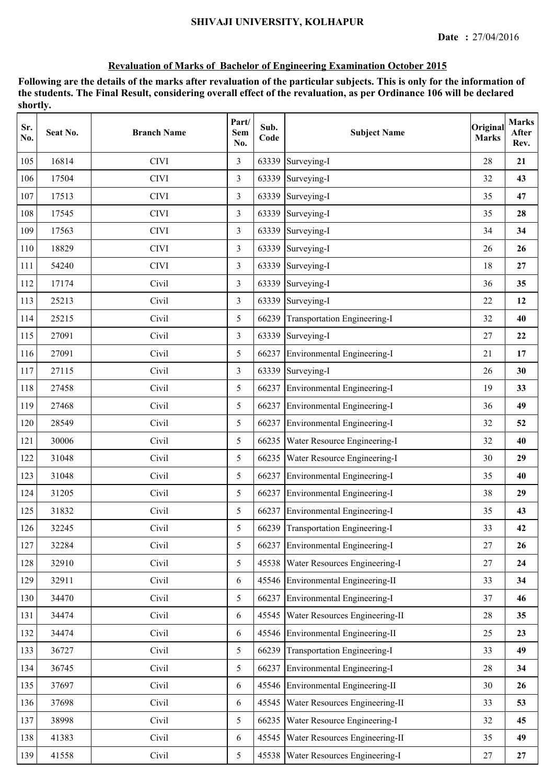| Sr.<br>No. | Seat No. | <b>Branch Name</b> | Part/<br><b>Sem</b><br>No. | Sub.<br>Code | <b>Subject Name</b>                 | Original<br><b>Marks</b> | <b>Marks</b><br>After<br>Rev. |
|------------|----------|--------------------|----------------------------|--------------|-------------------------------------|--------------------------|-------------------------------|
| 105        | 16814    | <b>CIVI</b>        | 3                          | 63339        | Surveying-I                         | 28                       | 21                            |
| 106        | 17504    | <b>CIVI</b>        | 3                          | 63339        | Surveying-I                         | 32                       | 43                            |
| 107        | 17513    | <b>CIVI</b>        | 3                          | 63339        | Surveying-I                         | 35                       | 47                            |
| 108        | 17545    | <b>CIVI</b>        | $\overline{3}$             | 63339        | Surveying-I                         | 35                       | 28                            |
| 109        | 17563    | <b>CIVI</b>        | 3                          |              | 63339 Surveying-I                   | 34                       | 34                            |
| 110        | 18829    | <b>CIVI</b>        | 3                          | 63339        | Surveying-I                         | 26                       | 26                            |
| 111        | 54240    | <b>CIVI</b>        | 3                          | 63339        | Surveying-I                         | 18                       | 27                            |
| 112        | 17174    | Civil              | 3                          | 63339        | Surveying-I                         | 36                       | 35                            |
| 113        | 25213    | Civil              | 3                          |              | 63339 Surveying-I                   | 22                       | 12                            |
| 114        | 25215    | Civil              | 5                          | 66239        | Transportation Engineering-I        | 32                       | 40                            |
| 115        | 27091    | Civil              | $\overline{3}$             |              | 63339 Surveying-I                   | 27                       | 22                            |
| 116        | 27091    | Civil              | 5                          | 66237        | Environmental Engineering-I         | 21                       | 17                            |
| 117        | 27115    | Civil              | 3                          |              | 63339 Surveying-I                   | 26                       | 30                            |
| 118        | 27458    | Civil              | 5                          | 66237        | Environmental Engineering-I         | 19                       | 33                            |
| 119        | 27468    | Civil              | 5                          | 66237        | Environmental Engineering-I         | 36                       | 49                            |
| 120        | 28549    | Civil              | 5                          | 66237        | Environmental Engineering-I         | 32                       | 52                            |
| 121        | 30006    | Civil              | 5                          | 66235        | Water Resource Engineering-I        | 32                       | 40                            |
| 122        | 31048    | Civil              | 5                          | 66235        | Water Resource Engineering-I        | 30                       | 29                            |
| 123        | 31048    | Civil              | 5                          |              | 66237 Environmental Engineering-I   | 35                       | 40                            |
| 124        | 31205    | Civil              | 5                          |              | 66237 Environmental Engineering-I   | 38                       | 29                            |
| 125        | 31832    | Civil              | 5                          |              | 66237 Environmental Engineering-I   | 35                       | 43                            |
| 126        | 32245    | Civil              | 5                          |              | 66239 Transportation Engineering-I  | 33                       | 42                            |
| 127        | 32284    | Civil              | 5                          | 66237        | Environmental Engineering-I         | 27                       | 26                            |
| 128        | 32910    | Civil              | 5                          | 45538        | Water Resources Engineering-I       | 27                       | 24                            |
| 129        | 32911    | Civil              | 6                          |              | 45546 Environmental Engineering-II  | 33                       | 34                            |
| 130        | 34470    | Civil              | 5                          | 66237        | Environmental Engineering-I         | 37                       | 46                            |
| 131        | 34474    | Civil              | 6                          | 45545        | Water Resources Engineering-II      | 28                       | 35                            |
| 132        | 34474    | Civil              | 6                          |              | 45546 Environmental Engineering-II  | 25                       | 23                            |
| 133        | 36727    | Civil              | 5                          |              | 66239 Transportation Engineering-I  | 33                       | 49                            |
| 134        | 36745    | Civil              | 5                          |              | 66237 Environmental Engineering-I   | 28                       | 34                            |
| 135        | 37697    | Civil              | 6                          |              | 45546 Environmental Engineering-II  | 30                       | 26                            |
| 136        | 37698    | Civil              | 6                          | 45545        | Water Resources Engineering-II      | 33                       | 53                            |
| 137        | 38998    | Civil              | 5                          | 66235        | Water Resource Engineering-I        | 32                       | 45                            |
| 138        | 41383    | Civil              | 6                          | 45545        | Water Resources Engineering-II      | 35                       | 49                            |
| 139        | 41558    | Civil              | 5                          |              | 45538 Water Resources Engineering-I | 27                       | 27                            |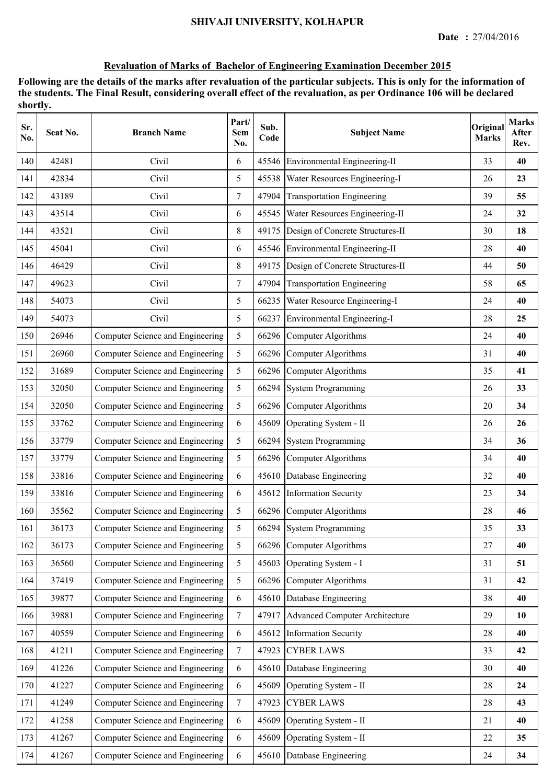| Sr.<br>No. | Seat No. | <b>Branch Name</b>               | Part/<br><b>Sem</b><br>No. | Sub.<br>Code | <b>Subject Name</b>                    | Original<br><b>Marks</b> | <b>Marks</b><br>After<br>Rev. |
|------------|----------|----------------------------------|----------------------------|--------------|----------------------------------------|--------------------------|-------------------------------|
| 140        | 42481    | Civil                            | 6                          | 45546        | Environmental Engineering-II           | 33                       | 40                            |
| 141        | 42834    | Civil                            | 5                          | 45538        | Water Resources Engineering-I          | 26                       | 23                            |
| 142        | 43189    | Civil                            | $\tau$                     | 47904        | <b>Transportation Engineering</b>      | 39                       | 55                            |
| 143        | 43514    | Civil                            | 6                          |              | 45545   Water Resources Engineering-II | 24                       | 32                            |
| 144        | 43521    | Civil                            | 8                          | 49175        | Design of Concrete Structures-II       | 30                       | 18                            |
| 145        | 45041    | Civil                            | 6                          | 45546        | Environmental Engineering-II           | 28                       | 40                            |
| 146        | 46429    | Civil                            | 8                          | 49175        | Design of Concrete Structures-II       | 44                       | 50                            |
| 147        | 49623    | Civil                            | $\tau$                     | 47904        | <b>Transportation Engineering</b>      | 58                       | 65                            |
| 148        | 54073    | Civil                            | 5                          | 66235        | Water Resource Engineering-I           | 24                       | 40                            |
| 149        | 54073    | Civil                            | 5                          | 66237        | Environmental Engineering-I            | 28                       | 25                            |
| 150        | 26946    | Computer Science and Engineering | 5                          |              | 66296 Computer Algorithms              | 24                       | 40                            |
| 151        | 26960    | Computer Science and Engineering | 5                          |              | 66296 Computer Algorithms              | 31                       | 40                            |
| 152        | 31689    | Computer Science and Engineering | 5                          |              | 66296 Computer Algorithms              | 35                       | 41                            |
| 153        | 32050    | Computer Science and Engineering | 5                          | 66294        | <b>System Programming</b>              | 26                       | 33                            |
| 154        | 32050    | Computer Science and Engineering | 5                          | 66296        | Computer Algorithms                    | 20                       | 34                            |
| 155        | 33762    | Computer Science and Engineering | 6                          | 45609        | Operating System - II                  | 26                       | 26                            |
| 156        | 33779    | Computer Science and Engineering | 5                          | 66294        | <b>System Programming</b>              | 34                       | 36                            |
| 157        | 33779    | Computer Science and Engineering | 5                          |              | 66296 Computer Algorithms              | 34                       | 40                            |
| 158        | 33816    | Computer Science and Engineering | 6                          | 45610        | Database Engineering                   | 32                       | 40                            |
| 159        | 33816    | Computer Science and Engineering | 6                          |              | 45612 Information Security             | 23                       | 34                            |
| 160        | 35562    | Computer Science and Engineering | 5                          |              | 66296 Computer Algorithms              | 28                       | 46                            |
| 161        | 36173    | Computer Science and Engineering | 5                          |              | 66294 System Programming               | 35                       | 33                            |
| 162        | 36173    | Computer Science and Engineering | 5                          | 66296        | Computer Algorithms                    | 27                       | 40                            |
| 163        | 36560    | Computer Science and Engineering | 5                          | 45603        | Operating System - I                   | 31                       | 51                            |
| 164        | 37419    | Computer Science and Engineering | 5                          | 66296        | Computer Algorithms                    | 31                       | 42                            |
| 165        | 39877    | Computer Science and Engineering | 6                          | 45610        | Database Engineering                   | 38                       | 40                            |
| 166        | 39881    | Computer Science and Engineering | $\tau$                     | 47917        | <b>Advanced Computer Architecture</b>  | 29                       | 10                            |
| 167        | 40559    | Computer Science and Engineering | 6                          | 45612        | <b>Information Security</b>            | 28                       | 40                            |
| 168        | 41211    | Computer Science and Engineering | $\overline{7}$             | 47923        | <b>CYBER LAWS</b>                      | 33                       | 42                            |
| 169        | 41226    | Computer Science and Engineering | 6                          | 45610        | Database Engineering                   | 30                       | 40                            |
| 170        | 41227    | Computer Science and Engineering | 6                          | 45609        | Operating System - II                  | 28                       | 24                            |
| 171        | 41249    | Computer Science and Engineering | $7\overline{ }$            | 47923        | <b>CYBER LAWS</b>                      | 28                       | 43                            |
| 172        | 41258    | Computer Science and Engineering | 6                          | 45609        | Operating System - II                  | 21                       | 40                            |
| 173        | 41267    | Computer Science and Engineering | 6                          | 45609        | Operating System - II                  | 22                       | 35                            |
| 174        | 41267    | Computer Science and Engineering | $\sqrt{6}$                 | 45610        | Database Engineering                   | 24                       | 34                            |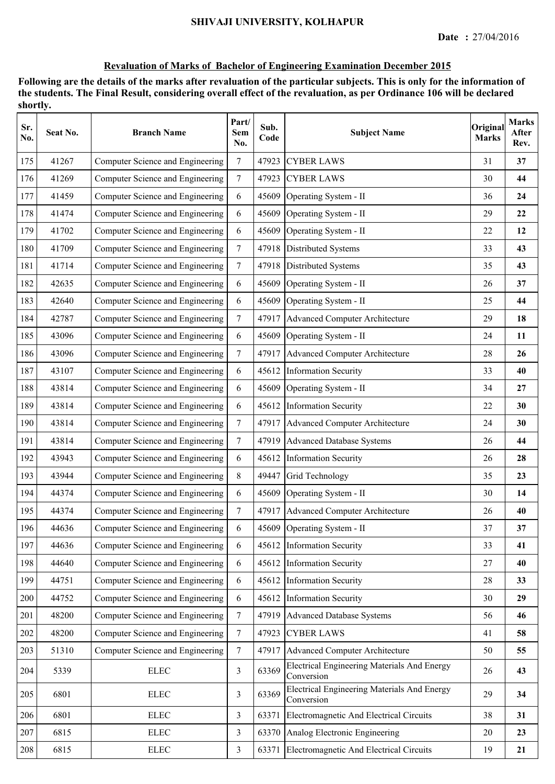| Sr.<br>No. | Seat No. | <b>Branch Name</b>               | Part/<br>Sem<br>No. | Sub.<br>Code | <b>Subject Name</b>                                              | Original<br><b>Marks</b> | <b>Marks</b><br>After<br>Rev. |
|------------|----------|----------------------------------|---------------------|--------------|------------------------------------------------------------------|--------------------------|-------------------------------|
| 175        | 41267    | Computer Science and Engineering | 7                   | 47923        | <b>CYBER LAWS</b>                                                | 31                       | 37                            |
| 176        | 41269    | Computer Science and Engineering | $\tau$              | 47923        | <b>CYBER LAWS</b>                                                | 30                       | 44                            |
| 177        | 41459    | Computer Science and Engineering | 6                   | 45609        | Operating System - II                                            | 36                       | 24                            |
| 178        | 41474    | Computer Science and Engineering | 6                   | 45609        | Operating System - II                                            | 29                       | 22                            |
| 179        | 41702    | Computer Science and Engineering | 6                   | 45609        | Operating System - II                                            | 22                       | 12                            |
| 180        | 41709    | Computer Science and Engineering | $\overline{7}$      |              | 47918 Distributed Systems                                        | 33                       | 43                            |
| 181        | 41714    | Computer Science and Engineering | $\overline{7}$      | 47918        | Distributed Systems                                              | 35                       | 43                            |
| 182        | 42635    | Computer Science and Engineering | 6                   | 45609        | Operating System - II                                            | 26                       | 37                            |
| 183        | 42640    | Computer Science and Engineering | 6                   | 45609        | Operating System - II                                            | 25                       | 44                            |
| 184        | 42787    | Computer Science and Engineering | $\tau$              |              | 47917 Advanced Computer Architecture                             | 29                       | 18                            |
| 185        | 43096    | Computer Science and Engineering | 6                   | 45609        | Operating System - II                                            | 24                       | 11                            |
| 186        | 43096    | Computer Science and Engineering | $\overline{7}$      | 47917        | <b>Advanced Computer Architecture</b>                            | 28                       | 26                            |
| 187        | 43107    | Computer Science and Engineering | 6                   |              | 45612 Information Security                                       | 33                       | 40                            |
| 188        | 43814    | Computer Science and Engineering | 6                   | 45609        | Operating System - II                                            | 34                       | 27                            |
| 189        | 43814    | Computer Science and Engineering | 6                   | 45612        | <b>Information Security</b>                                      | 22                       | 30                            |
| 190        | 43814    | Computer Science and Engineering | $\overline{7}$      | 47917        | Advanced Computer Architecture                                   | 24                       | 30                            |
| 191        | 43814    | Computer Science and Engineering | $\tau$              | 47919        | <b>Advanced Database Systems</b>                                 | 26                       | 44                            |
| 192        | 43943    | Computer Science and Engineering | 6                   | 45612        | <b>Information Security</b>                                      | 26                       | 28                            |
| 193        | 43944    | Computer Science and Engineering | $8\,$               | 49447        | Grid Technology                                                  | 35                       | 23                            |
| 194        | 44374    | Computer Science and Engineering | 6                   | 45609        | Operating System - II                                            | 30                       | 14                            |
| 195        | 44374    | Computer Science and Engineering | $\overline{7}$      |              | 47917 Advanced Computer Architecture                             | 26                       | 40                            |
| 196        | 44636    | Computer Science and Engineering | 6                   |              | 45609 Operating System - II                                      | 37                       | 37                            |
| 197        | 44636    | Computer Science and Engineering | 6                   | 45612        | <b>Information Security</b>                                      | 33                       | 41                            |
| 198        | 44640    | Computer Science and Engineering | 6                   | 45612        | <b>Information Security</b>                                      | 27                       | 40                            |
| 199        | 44751    | Computer Science and Engineering | 6                   | 45612        | <b>Information Security</b>                                      | 28                       | 33                            |
| 200        | 44752    | Computer Science and Engineering | 6                   | 45612        | <b>Information Security</b>                                      | 30                       | 29                            |
| 201        | 48200    | Computer Science and Engineering | $7\overline{ }$     | 47919        | <b>Advanced Database Systems</b>                                 | 56                       | 46                            |
| 202        | 48200    | Computer Science and Engineering | $\overline{7}$      |              | 47923 CYBER LAWS                                                 | 41                       | 58                            |
| 203        | 51310    | Computer Science and Engineering | $\tau$              | 47917        | <b>Advanced Computer Architecture</b>                            | 50                       | 55                            |
| 204        | 5339     | <b>ELEC</b>                      | $\overline{3}$      | 63369        | <b>Electrical Engineering Materials And Energy</b><br>Conversion | 26                       | 43                            |
| 205        | 6801     | <b>ELEC</b>                      | $\overline{3}$      | 63369        | Electrical Engineering Materials And Energy<br>Conversion        | 29                       | 34                            |
| 206        | 6801     | <b>ELEC</b>                      | 3                   | 63371        | Electromagnetic And Electrical Circuits                          | 38                       | 31                            |
| 207        | 6815     | ${\rm ELLC}$                     | 3                   | 63370        | Analog Electronic Engineering                                    | 20                       | 23                            |
| 208        | 6815     | ${\rm ELLC}$                     | $\overline{3}$      | 63371        | Electromagnetic And Electrical Circuits                          | 19                       | 21                            |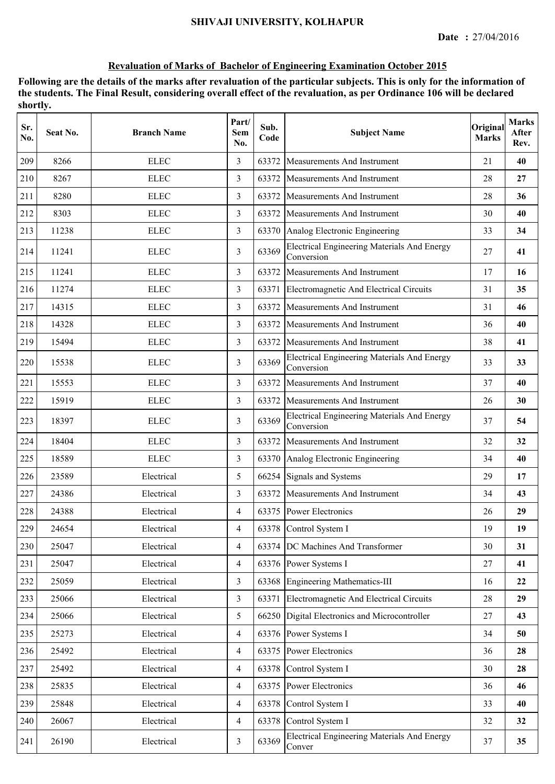| Sr.<br>No. | Seat No. | <b>Branch Name</b> | Part/<br><b>Sem</b><br>No. | Sub.<br>Code | <b>Subject Name</b>                                              | Original<br><b>Marks</b> | <b>Marks</b><br>After<br>Rev. |
|------------|----------|--------------------|----------------------------|--------------|------------------------------------------------------------------|--------------------------|-------------------------------|
| 209        | 8266     | <b>ELEC</b>        | 3                          | 63372        | <b>Measurements And Instrument</b>                               | 21                       | 40                            |
| 210        | 8267     | <b>ELEC</b>        | $\overline{3}$             | 63372        | Measurements And Instrument                                      | 28                       | 27                            |
| 211        | 8280     | <b>ELEC</b>        | 3                          |              | 63372 Measurements And Instrument                                | 28                       | 36                            |
| 212        | 8303     | <b>ELEC</b>        | 3                          | 63372        | Measurements And Instrument                                      | 30                       | 40                            |
| 213        | 11238    | <b>ELEC</b>        | 3                          | 63370        | Analog Electronic Engineering                                    | 33                       | 34                            |
| 214        | 11241    | <b>ELEC</b>        | 3                          | 63369        | <b>Electrical Engineering Materials And Energy</b><br>Conversion | 27                       | 41                            |
| 215        | 11241    | <b>ELEC</b>        | 3                          | 63372        | <b>Measurements And Instrument</b>                               | 17                       | 16                            |
| 216        | 11274    | <b>ELEC</b>        | 3                          | 63371        | Electromagnetic And Electrical Circuits                          | 31                       | 35                            |
| 217        | 14315    | <b>ELEC</b>        | 3                          | 63372        | Measurements And Instrument                                      | 31                       | 46                            |
| 218        | 14328    | <b>ELEC</b>        | $\overline{3}$             | 63372        | Measurements And Instrument                                      | 36                       | 40                            |
| 219        | 15494    | <b>ELEC</b>        | 3                          | 63372        | <b>Measurements And Instrument</b>                               | 38                       | 41                            |
| 220        | 15538    | <b>ELEC</b>        | 3                          | 63369        | <b>Electrical Engineering Materials And Energy</b><br>Conversion | 33                       | 33                            |
| 221        | 15553    | <b>ELEC</b>        | 3                          | 63372        | <b>Measurements And Instrument</b>                               | 37                       | 40                            |
| 222        | 15919    | <b>ELEC</b>        | 3                          | 63372        | Measurements And Instrument                                      | 26                       | 30                            |
| 223        | 18397    | <b>ELEC</b>        | 3                          | 63369        | <b>Electrical Engineering Materials And Energy</b><br>Conversion | 37                       | 54                            |
| 224        | 18404    | <b>ELEC</b>        | 3                          | 63372        | Measurements And Instrument                                      | 32                       | 32                            |
| 225        | 18589    | <b>ELEC</b>        | 3                          |              | 63370 Analog Electronic Engineering                              | 34                       | 40                            |
| 226        | 23589    | Electrical         | 5                          |              | 66254 Signals and Systems                                        | 29                       | 17                            |
| 227        | 24386    | Electrical         | 3                          | 63372        | <b>Measurements And Instrument</b>                               | 34                       | 43                            |
| 228        | 24388    | Electrical         | $\overline{4}$             |              | 63375 Power Electronics                                          | 26                       | 29                            |
| 229        | 24654    | Electrical         | 4                          |              | 63378 Control System I                                           | 19                       | 19                            |
| 230        | 25047    | Electrical         | $\overline{4}$             |              | 63374 DC Machines And Transformer                                | 30                       | 31                            |
| 231        | 25047    | Electrical         | $\overline{4}$             |              | 63376 Power Systems I                                            | $27\,$                   | 41                            |
| 232        | 25059    | Electrical         | $\overline{3}$             |              | 63368 Engineering Mathematics-III                                | 16                       | 22                            |
| 233        | 25066    | Electrical         | 3                          | 63371        | Electromagnetic And Electrical Circuits                          | 28                       | 29                            |
| 234        | 25066    | Electrical         | 5                          |              | 66250 Digital Electronics and Microcontroller                    | 27                       | 43                            |
| 235        | 25273    | Electrical         | $\overline{4}$             |              | 63376 Power Systems I                                            | 34                       | 50                            |
| 236        | 25492    | Electrical         | $\overline{4}$             | 63375        | <b>Power Electronics</b>                                         | 36                       | 28                            |
| 237        | 25492    | Electrical         | $\overline{4}$             | 63378        | Control System I                                                 | 30                       | 28                            |
| 238        | 25835    | Electrical         | 4                          | 63375        | Power Electronics                                                | 36                       | 46                            |
| 239        | 25848    | Electrical         | $\overline{4}$             | 63378        | Control System I                                                 | 33                       | 40                            |
| 240        | 26067    | Electrical         | $\overline{4}$             | 63378        | Control System I                                                 | 32                       | 32                            |
| 241        | 26190    | Electrical         | 3                          | 63369        | <b>Electrical Engineering Materials And Energy</b><br>Conver     | 37                       | 35                            |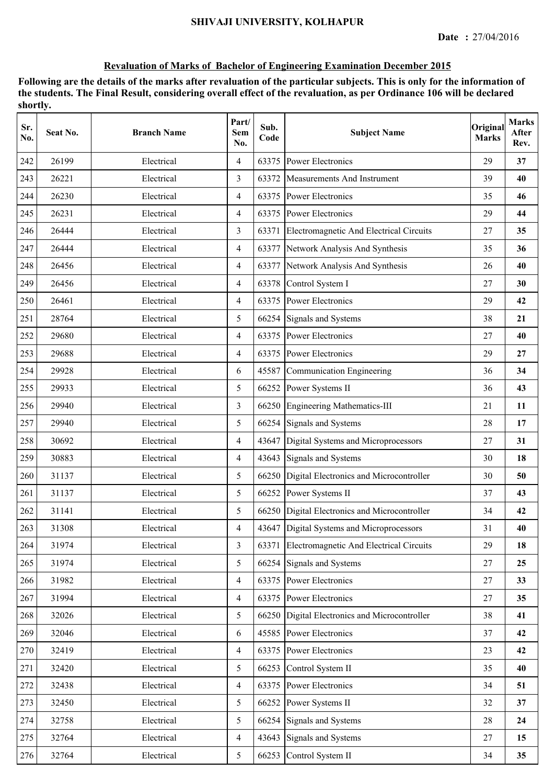| Sr.<br>No. | Seat No. | <b>Branch Name</b> | Part/<br>Sem<br>No. | Sub.<br>Code | <b>Subject Name</b>                           | Original<br><b>Marks</b> | <b>Marks</b><br>After<br>Rev. |
|------------|----------|--------------------|---------------------|--------------|-----------------------------------------------|--------------------------|-------------------------------|
| 242        | 26199    | Electrical         | 4                   | 63375        | Power Electronics                             | 29                       | 37                            |
| 243        | 26221    | Electrical         | $\overline{3}$      | 63372        | Measurements And Instrument                   | 39                       | 40                            |
| 244        | 26230    | Electrical         | $\overline{4}$      |              | 63375 Power Electronics                       | 35                       | 46                            |
| 245        | 26231    | Electrical         | $\overline{4}$      |              | 63375 Power Electronics                       | 29                       | 44                            |
| 246        | 26444    | Electrical         | 3                   | 63371        | Electromagnetic And Electrical Circuits       | 27                       | 35                            |
| 247        | 26444    | Electrical         | $\overline{4}$      | 63377        | Network Analysis And Synthesis                | 35                       | 36                            |
| 248        | 26456    | Electrical         | 4                   | 63377        | Network Analysis And Synthesis                | 26                       | 40                            |
| 249        | 26456    | Electrical         | 4                   | 63378        | Control System I                              | 27                       | 30                            |
| 250        | 26461    | Electrical         | 4                   | 63375        | Power Electronics                             | 29                       | 42                            |
| 251        | 28764    | Electrical         | 5                   |              | 66254 Signals and Systems                     | 38                       | 21                            |
| 252        | 29680    | Electrical         | $\overline{4}$      |              | 63375 Power Electronics                       | 27                       | 40                            |
| 253        | 29688    | Electrical         | $\overline{4}$      |              | 63375 Power Electronics                       | 29                       | 27                            |
| 254        | 29928    | Electrical         | 6                   | 45587        | Communication Engineering                     | 36                       | 34                            |
| 255        | 29933    | Electrical         | 5                   |              | 66252 Power Systems II                        | 36                       | 43                            |
| 256        | 29940    | Electrical         | 3                   |              | 66250 Engineering Mathematics-III             | 21                       | 11                            |
| 257        | 29940    | Electrical         | 5                   |              | 66254 Signals and Systems                     | 28                       | 17                            |
| 258        | 30692    | Electrical         | 4                   | 43647        | Digital Systems and Microprocessors           | 27                       | 31                            |
| 259        | 30883    | Electrical         | $\overline{4}$      | 43643        | Signals and Systems                           | 30                       | 18                            |
| 260        | 31137    | Electrical         | 5                   |              | 66250 Digital Electronics and Microcontroller | 30                       | 50                            |
| 261        | 31137    | Electrical         | 5                   |              | 66252 Power Systems II                        | 37                       | 43                            |
| 262        | 31141    | Electrical         | 5                   |              | 66250 Digital Electronics and Microcontroller | 34                       | 42                            |
| 263        | 31308    | Electrical         | 4                   |              | 43647 Digital Systems and Microprocessors     | 31                       | 40                            |
| 264        | 31974    | Electrical         | $\overline{3}$      | 63371        | Electromagnetic And Electrical Circuits       | 29                       | 18                            |
| 265        | 31974    | Electrical         | 5                   |              | 66254 Signals and Systems                     | 27                       | 25                            |
| 266        | 31982    | Electrical         | $\overline{4}$      |              | 63375 Power Electronics                       | 27                       | 33                            |
| 267        | 31994    | Electrical         | $\overline{4}$      |              | 63375 Power Electronics                       | 27                       | 35                            |
| 268        | 32026    | Electrical         | 5                   |              | 66250 Digital Electronics and Microcontroller | 38                       | 41                            |
| 269        | 32046    | Electrical         | 6                   |              | 45585 Power Electronics                       | 37                       | 42                            |
| 270        | 32419    | Electrical         | 4                   |              | 63375 Power Electronics                       | 23                       | 42                            |
| 271        | 32420    | Electrical         | 5                   | 66253        | Control System II                             | 35                       | 40                            |
| 272        | 32438    | Electrical         | $\overline{4}$      |              | 63375 Power Electronics                       | 34                       | 51                            |
| 273        | 32450    | Electrical         | 5                   | 66252        | Power Systems II                              | 32                       | 37                            |
| 274        | 32758    | Electrical         | 5                   |              | 66254 Signals and Systems                     | 28                       | 24                            |
| $275\,$    | 32764    | Electrical         | $\overline{4}$      | 43643        | Signals and Systems                           | 27                       | 15                            |
| 276        | 32764    | Electrical         | 5                   |              | 66253 Control System II                       | 34                       | 35                            |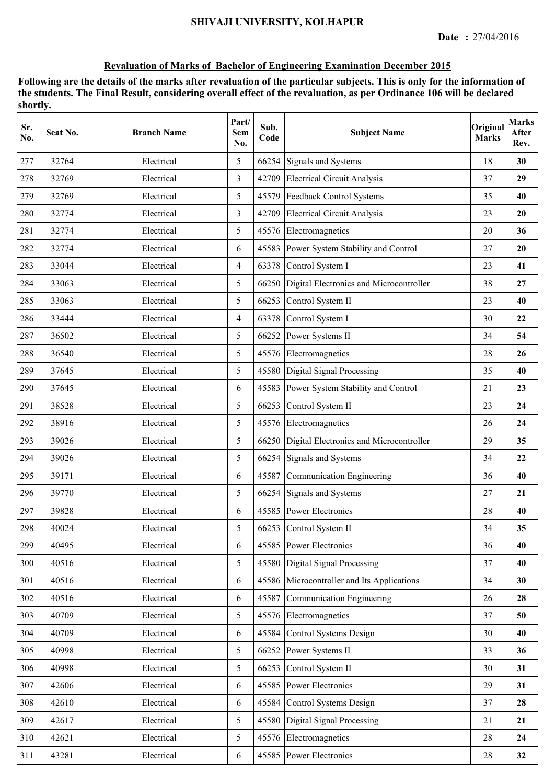| Sr.<br>No. | Seat No. | <b>Branch Name</b> | Part/<br><b>Sem</b><br>No. | Sub.<br>Code | <b>Subject Name</b>                        | Original<br><b>Marks</b> | <b>Marks</b><br>After<br>Rev. |
|------------|----------|--------------------|----------------------------|--------------|--------------------------------------------|--------------------------|-------------------------------|
| 277        | 32764    | Electrical         | 5                          | 66254        | Signals and Systems                        | 18                       | 30                            |
| 278        | 32769    | Electrical         | 3                          | 42709        | <b>Electrical Circuit Analysis</b>         | 37                       | 29                            |
| 279        | 32769    | Electrical         | 5                          | 45579        | Feedback Control Systems                   | 35                       | 40                            |
| 280        | 32774    | Electrical         | 3                          | 42709        | <b>Electrical Circuit Analysis</b>         | 23                       | 20                            |
| 281        | 32774    | Electrical         | 5                          |              | 45576 Electromagnetics                     | 20                       | 36                            |
| 282        | 32774    | Electrical         | 6                          | 45583        | Power System Stability and Control         | 27                       | 20                            |
| 283        | 33044    | Electrical         | $\overline{4}$             | 63378        | Control System I                           | 23                       | 41                            |
| 284        | 33063    | Electrical         | 5                          | 66250        | Digital Electronics and Microcontroller    | 38                       | 27                            |
| 285        | 33063    | Electrical         | 5                          | 66253        | Control System II                          | 23                       | 40                            |
| 286        | 33444    | Electrical         | $\overline{4}$             | 63378        | Control System I                           | 30                       | 22                            |
| 287        | 36502    | Electrical         | 5                          | 66252        | Power Systems II                           | 34                       | 54                            |
| 288        | 36540    | Electrical         | 5                          |              | 45576 Electromagnetics                     | 28                       | 26                            |
| 289        | 37645    | Electrical         | 5                          |              | 45580 Digital Signal Processing            | 35                       | 40                            |
| 290        | 37645    | Electrical         | 6                          | 45583        | Power System Stability and Control         | 21                       | 23                            |
| 291        | 38528    | Electrical         | 5                          | 66253        | Control System II                          | 23                       | 24                            |
| 292        | 38916    | Electrical         | 5                          | 45576        | Electromagnetics                           | 26                       | 24                            |
| 293        | 39026    | Electrical         | 5                          | 66250        | Digital Electronics and Microcontroller    | 29                       | 35                            |
| 294        | 39026    | Electrical         | 5                          | 66254        | Signals and Systems                        | 34                       | 22                            |
| 295        | 39171    | Electrical         | 6                          | 45587        | Communication Engineering                  | 36                       | 40                            |
| 296        | 39770    | Electrical         | 5                          |              | 66254 Signals and Systems                  | 27                       | 21                            |
| 297        | 39828    | Electrical         | 6                          |              | 45585 Power Electronics                    | 28                       | 40                            |
| 298        | 40024    | Electrical         | 5                          |              | 66253 Control System II                    | 34                       | 35                            |
| 299        | 40495    | Electrical         | 6                          |              | 45585 Power Electronics                    | 36                       | 40                            |
| 300        | 40516    | Electrical         | 5                          | 45580        | Digital Signal Processing                  | 37                       | 40                            |
| 301        | 40516    | Electrical         | 6                          |              | 45586 Microcontroller and Its Applications | 34                       | 30                            |
| 302        | 40516    | Electrical         | 6                          | 45587        | Communication Engineering                  | 26                       | 28                            |
| 303        | 40709    | Electrical         | 5                          | 45576        | Electromagnetics                           | 37                       | 50                            |
| 304        | 40709    | Electrical         | 6                          | 45584        | Control Systems Design                     | 30                       | 40                            |
| 305        | 40998    | Electrical         | 5                          |              | 66252 Power Systems II                     | 33                       | 36                            |
| 306        | 40998    | Electrical         | 5                          | 66253        | Control System II                          | 30                       | 31                            |
| 307        | 42606    | Electrical         | 6                          | 45585        | <b>Power Electronics</b>                   | 29                       | 31                            |
| 308        | 42610    | Electrical         | 6                          | 45584        | Control Systems Design                     | 37                       | 28                            |
| 309        | 42617    | Electrical         | 5                          | 45580        | Digital Signal Processing                  | 21                       | 21                            |
| 310        | 42621    | Electrical         | 5                          |              | 45576 Electromagnetics                     | 28                       | 24                            |
| 311        | 43281    | Electrical         | 6                          |              | 45585 Power Electronics                    | $28\,$                   | 32                            |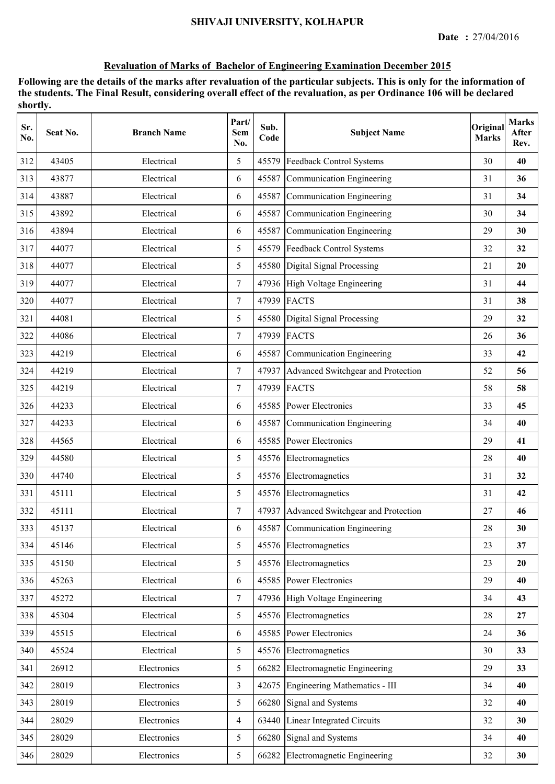| Sr.<br>No. | Seat No. | <b>Branch Name</b> | Part/<br>Sem<br>No. | Sub.<br>Code | <b>Subject Name</b>                      | Original<br><b>Marks</b> | <b>Marks</b><br>After<br>Rev. |
|------------|----------|--------------------|---------------------|--------------|------------------------------------------|--------------------------|-------------------------------|
| 312        | 43405    | Electrical         | 5                   |              | 45579 Feedback Control Systems           | 30                       | 40                            |
| 313        | 43877    | Electrical         | 6                   | 45587        | Communication Engineering                | 31                       | 36                            |
| 314        | 43887    | Electrical         | 6                   |              | 45587 Communication Engineering          | 31                       | 34                            |
| 315        | 43892    | Electrical         | 6                   |              | 45587 Communication Engineering          | 30                       | 34                            |
| 316        | 43894    | Electrical         | 6                   |              | 45587 Communication Engineering          | 29                       | 30                            |
| 317        | 44077    | Electrical         | 5                   |              | 45579 Feedback Control Systems           | 32                       | 32                            |
| 318        | 44077    | Electrical         | 5                   |              | 45580 Digital Signal Processing          | 21                       | 20                            |
| 319        | 44077    | Electrical         | $\tau$              |              | 47936 High Voltage Engineering           | 31                       | 44                            |
| 320        | 44077    | Electrical         | $\tau$              |              | 47939 FACTS                              | 31                       | 38                            |
| 321        | 44081    | Electrical         | 5                   |              | 45580 Digital Signal Processing          | 29                       | 32                            |
| 322        | 44086    | Electrical         | $\overline{7}$      |              | 47939 FACTS                              | 26                       | 36                            |
| 323        | 44219    | Electrical         | 6                   |              | 45587 Communication Engineering          | 33                       | 42                            |
| 324        | 44219    | Electrical         | $\tau$              |              | 47937 Advanced Switchgear and Protection | 52                       | 56                            |
| 325        | 44219    | Electrical         | 7                   |              | 47939 FACTS                              | 58                       | 58                            |
| 326        | 44233    | Electrical         | 6                   |              | 45585 Power Electronics                  | 33                       | 45                            |
| 327        | 44233    | Electrical         | 6                   | 45587        | Communication Engineering                | 34                       | 40                            |
| 328        | 44565    | Electrical         | 6                   | 45585        | <b>Power Electronics</b>                 | 29                       | 41                            |
| 329        | 44580    | Electrical         | 5                   | 45576        | Electromagnetics                         | 28                       | 40                            |
| 330        | 44740    | Electrical         | 5                   |              | 45576 Electromagnetics                   | 31                       | 32                            |
| 331        | 45111    | Electrical         | 5                   |              | 45576 Electromagnetics                   | 31                       | 42                            |
| 332        | 45111    | Electrical         | $\overline{7}$      |              | 47937 Advanced Switchgear and Protection | 27                       | 46                            |
| 333        | 45137    | Electrical         | 6                   |              | 45587 Communication Engineering          | 28                       | 30                            |
| 334        | 45146    | Electrical         | 5                   |              | 45576 Electromagnetics                   | 23                       | 37                            |
| 335        | 45150    | Electrical         | 5                   |              | 45576 Electromagnetics                   | 23                       | 20                            |
| 336        | 45263    | Electrical         | 6                   |              | 45585 Power Electronics                  | 29                       | 40                            |
| 337        | 45272    | Electrical         | $\overline{7}$      |              | 47936 High Voltage Engineering           | 34                       | 43                            |
| 338        | 45304    | Electrical         | 5                   |              | 45576 Electromagnetics                   | 28                       | 27                            |
| 339        | 45515    | Electrical         | 6                   |              | 45585 Power Electronics                  | 24                       | 36                            |
| 340        | 45524    | Electrical         | 5                   |              | 45576 Electromagnetics                   | 30                       | 33                            |
| 341        | 26912    | Electronics        | 5                   | 66282        | Electromagnetic Engineering              | 29                       | 33                            |
| 342        | 28019    | Electronics        | 3                   |              | 42675 Engineering Mathematics - III      | 34                       | 40                            |
| 343        | 28019    | Electronics        | 5                   | 66280        | Signal and Systems                       | 32                       | 40                            |
| 344        | 28029    | Electronics        | $\overline{4}$      | 63440        | Linear Integrated Circuits               | 32                       | 30                            |
| 345        | 28029    | Electronics        | 5                   | 66280        | Signal and Systems                       | 34                       | 40                            |
| 346        | 28029    | Electronics        | 5                   | 66282        | Electromagnetic Engineering              | 32                       | 30                            |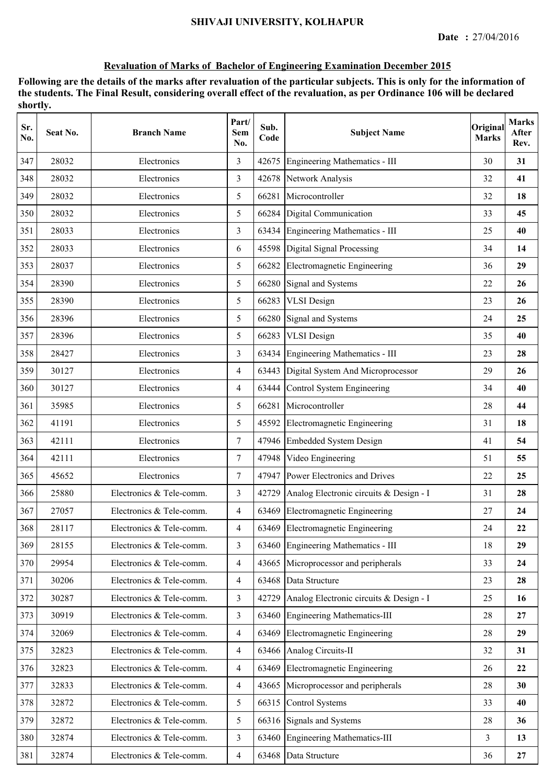| Sr.<br>No. | Seat No. | <b>Branch Name</b>       | Part/<br>Sem<br>No. | Sub.<br>Code | <b>Subject Name</b>                           | Original<br><b>Marks</b> | <b>Marks</b><br>After<br>Rev. |
|------------|----------|--------------------------|---------------------|--------------|-----------------------------------------------|--------------------------|-------------------------------|
| 347        | 28032    | Electronics              | 3                   | 42675        | Engineering Mathematics - III                 | 30                       | 31                            |
| 348        | 28032    | Electronics              | 3                   | 42678        | Network Analysis                              | 32                       | 41                            |
| 349        | 28032    | Electronics              | 5                   | 66281        | Microcontroller                               | 32                       | 18                            |
| 350        | 28032    | Electronics              | 5                   |              | 66284 Digital Communication                   | 33                       | 45                            |
| 351        | 28033    | Electronics              | 3                   |              | 63434 Engineering Mathematics - III           | 25                       | 40                            |
| 352        | 28033    | Electronics              | 6                   |              | 45598 Digital Signal Processing               | 34                       | 14                            |
| 353        | 28037    | Electronics              | 5                   | 66282        | Electromagnetic Engineering                   | 36                       | 29                            |
| 354        | 28390    | Electronics              | 5                   | 66280        | Signal and Systems                            | 22                       | 26                            |
| 355        | 28390    | Electronics              | 5                   | 66283        | <b>VLSI</b> Design                            | 23                       | 26                            |
| 356        | 28396    | Electronics              | 5                   | 66280        | Signal and Systems                            | 24                       | 25                            |
| 357        | 28396    | Electronics              | 5                   | 66283        | <b>VLSI</b> Design                            | 35                       | 40                            |
| 358        | 28427    | Electronics              | 3                   |              | 63434 Engineering Mathematics - III           | 23                       | 28                            |
| 359        | 30127    | Electronics              | $\overline{4}$      |              | 63443 Digital System And Microprocessor       | 29                       | 26                            |
| 360        | 30127    | Electronics              | 4                   |              | 63444 Control System Engineering              | 34                       | 40                            |
| 361        | 35985    | Electronics              | 5                   | 66281        | Microcontroller                               | 28                       | 44                            |
| 362        | 41191    | Electronics              | 5                   | 45592        | Electromagnetic Engineering                   | 31                       | 18                            |
| 363        | 42111    | Electronics              | $\tau$              |              | 47946 Embedded System Design                  | 41                       | 54                            |
| 364        | 42111    | Electronics              | $\tau$              | 47948        | Video Engineering                             | 51                       | 55                            |
| 365        | 45652    | Electronics              | $\overline{7}$      |              | 47947 Power Electronics and Drives            | 22                       | 25                            |
| 366        | 25880    | Electronics & Tele-comm. | 3                   |              | 42729 Analog Electronic circuits & Design - I | 31                       | 28                            |
| 367        | 27057    | Electronics & Tele-comm. | $\overline{4}$      |              | 63469 Electromagnetic Engineering             | 27                       | 24                            |
| 368        | 28117    | Electronics & Tele-comm. | 4                   |              | 63469 Electromagnetic Engineering             | 24                       | 22                            |
| 369        | 28155    | Electronics & Tele-comm. | $\overline{3}$      |              | 63460 Engineering Mathematics - III           | 18                       | 29                            |
| 370        | 29954    | Electronics & Tele-comm. | $\overline{4}$      | 43665        | Microprocessor and peripherals                | 33                       | 24                            |
| 371        | 30206    | Electronics & Tele-comm. | $\overline{4}$      | 63468        | Data Structure                                | 23                       | 28                            |
| 372        | 30287    | Electronics & Tele-comm. | $\overline{3}$      |              | 42729 Analog Electronic circuits & Design - I | 25                       | 16                            |
| 373        | 30919    | Electronics & Tele-comm. | $\overline{3}$      |              | 63460 Engineering Mathematics-III             | 28                       | 27                            |
| 374        | 32069    | Electronics & Tele-comm. | $\overline{4}$      | 63469        | Electromagnetic Engineering                   | 28                       | 29                            |
| 375        | 32823    | Electronics & Tele-comm. | $\overline{4}$      |              | 63466 Analog Circuits-II                      | 32                       | 31                            |
| 376        | 32823    | Electronics & Tele-comm. | $\overline{4}$      | 63469        | Electromagnetic Engineering                   | 26                       | 22                            |
| 377        | 32833    | Electronics & Tele-comm. | $\overline{4}$      |              | 43665 Microprocessor and peripherals          | 28                       | 30                            |
| 378        | 32872    | Electronics & Tele-comm. | 5                   | 66315        | <b>Control Systems</b>                        | 33                       | 40                            |
| 379        | 32872    | Electronics & Tele-comm. | 5                   |              | 66316 Signals and Systems                     | 28                       | 36                            |
| 380        | 32874    | Electronics & Tele-comm. | $\overline{3}$      | 63460        | Engineering Mathematics-III                   | 3                        | 13                            |
| 381        | 32874    | Electronics & Tele-comm. | $\overline{4}$      |              | 63468 Data Structure                          | 36                       | 27                            |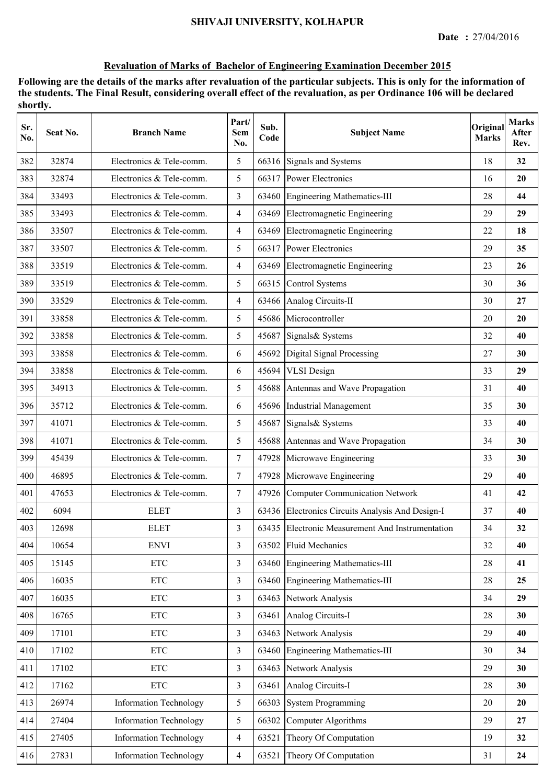| Sr.<br>No. | Seat No. | <b>Branch Name</b>            | Part/<br>Sem<br>No. | Sub.<br>Code | <b>Subject Name</b>                              | Original<br><b>Marks</b> | <b>Marks</b><br>After<br>Rev. |
|------------|----------|-------------------------------|---------------------|--------------|--------------------------------------------------|--------------------------|-------------------------------|
| 382        | 32874    | Electronics & Tele-comm.      | 5                   |              | 66316 Signals and Systems                        | 18                       | 32                            |
| 383        | 32874    | Electronics & Tele-comm.      | 5                   | 66317        | <b>Power Electronics</b>                         | 16                       | 20                            |
| 384        | 33493    | Electronics & Tele-comm.      | 3                   | 63460        | Engineering Mathematics-III                      | 28                       | 44                            |
| 385        | 33493    | Electronics & Tele-comm.      | $\overline{4}$      | 63469        | Electromagnetic Engineering                      | 29                       | 29                            |
| 386        | 33507    | Electronics & Tele-comm.      | $\overline{4}$      | 63469        | Electromagnetic Engineering                      | 22                       | 18                            |
| 387        | 33507    | Electronics & Tele-comm.      | 5                   |              | 66317 Power Electronics                          | 29                       | 35                            |
| 388        | 33519    | Electronics & Tele-comm.      | $\overline{4}$      | 63469        | Electromagnetic Engineering                      | 23                       | 26                            |
| 389        | 33519    | Electronics & Tele-comm.      | 5                   | 66315        | Control Systems                                  | 30                       | 36                            |
| 390        | 33529    | Electronics & Tele-comm.      | $\overline{4}$      |              | 63466 Analog Circuits-II                         | 30                       | 27                            |
| 391        | 33858    | Electronics & Tele-comm.      | 5                   | 45686        | Microcontroller                                  | 20                       | 20                            |
| 392        | 33858    | Electronics & Tele-comm.      | 5                   | 45687        | Signals& Systems                                 | 32                       | 40                            |
| 393        | 33858    | Electronics & Tele-comm.      | 6                   | 45692        | Digital Signal Processing                        | 27                       | 30                            |
| 394        | 33858    | Electronics & Tele-comm.      | 6                   |              | 45694 VLSI Design                                | 33                       | 29                            |
| 395        | 34913    | Electronics & Tele-comm.      | 5                   |              | 45688 Antennas and Wave Propagation              | 31                       | 40                            |
| 396        | 35712    | Electronics & Tele-comm.      | 6                   |              | 45696 Industrial Management                      | 35                       | 30                            |
| 397        | 41071    | Electronics & Tele-comm.      | 5                   | 45687        | Signals& Systems                                 | 33                       | 40                            |
| 398        | 41071    | Electronics & Tele-comm.      | 5                   |              | 45688 Antennas and Wave Propagation              | 34                       | 30                            |
| 399        | 45439    | Electronics & Tele-comm.      | $\tau$              |              | 47928 Microwave Engineering                      | 33                       | 30                            |
| 400        | 46895    | Electronics & Tele-comm.      | $\tau$              |              | 47928 Microwave Engineering                      | 29                       | 40                            |
| 401        | 47653    | Electronics & Tele-comm.      | $\overline{7}$      |              | 47926 Computer Communication Network             | 41                       | 42                            |
| 402        | 6094     | <b>ELET</b>                   | 3                   |              | 63436 Electronics Circuits Analysis And Design-I | 37                       | 40                            |
| 403        | 12698    | <b>ELET</b>                   | 3                   |              | 63435 Electronic Measurement And Instrumentation | 34                       | 32                            |
| 404        | 10654    | <b>ENVI</b>                   | $\overline{3}$      | 63502        | <b>Fluid Mechanics</b>                           | 32                       | 40                            |
| 405        | 15145    | $\ensuremath{\text{ETC}}$     | $\overline{3}$      | 63460        | Engineering Mathematics-III                      | 28                       | 41                            |
| 406        | 16035    | $\ensuremath{\text{ETC}}$     | $\overline{3}$      | 63460        | Engineering Mathematics-III                      | 28                       | 25                            |
| 407        | 16035    | $\ensuremath{\text{ETC}}$     | $\overline{3}$      | 63463        | Network Analysis                                 | 34                       | 29                            |
| 408        | 16765    | $\ensuremath{\text{ETC}}$     | $\overline{3}$      | 63461        | Analog Circuits-I                                | 28                       | 30                            |
| 409        | 17101    | $\ensuremath{\text{ETC}}$     | $\overline{3}$      | 63463        | Network Analysis                                 | 29                       | 40                            |
| 410        | 17102    | $\ensuremath{\text{ETC}}$     | $\overline{3}$      | 63460        | Engineering Mathematics-III                      | 30                       | 34                            |
| 411        | 17102    | <b>ETC</b>                    | $\overline{3}$      | 63463        | Network Analysis                                 | 29                       | 30                            |
| 412        | 17162    | $\ensuremath{\text{ETC}}$     | $\overline{3}$      | 63461        | Analog Circuits-I                                | 28                       | 30                            |
| 413        | 26974    | <b>Information Technology</b> | 5                   | 66303        | <b>System Programming</b>                        | 20                       | 20                            |
| 414        | 27404    | <b>Information Technology</b> | 5                   | 66302        | Computer Algorithms                              | 29                       | 27                            |
| 415        | 27405    | <b>Information Technology</b> | $\overline{4}$      | 63521        | Theory Of Computation                            | 19                       | 32                            |
| 416        | 27831    | <b>Information Technology</b> | $\overline{4}$      | 63521        | Theory Of Computation                            | 31                       | 24                            |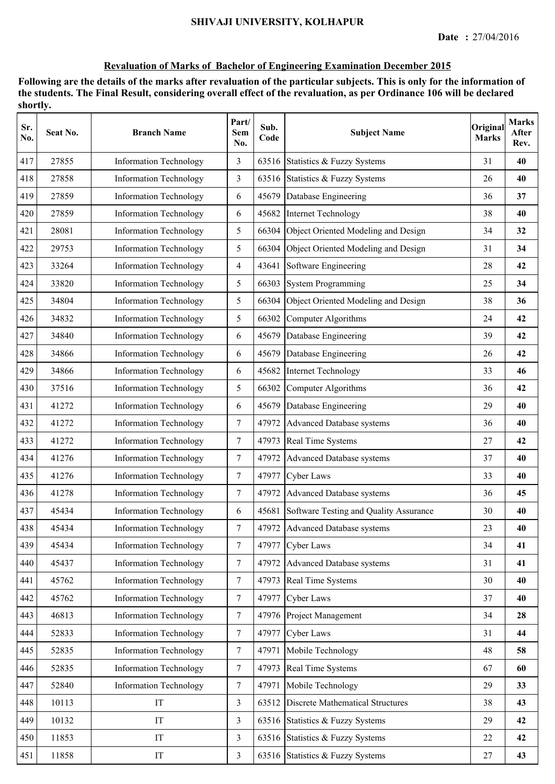| Sr.<br>No. | Seat No. | <b>Branch Name</b>            | Part/<br>Sem<br>No. | Sub.<br>Code | <b>Subject Name</b>                       | Original<br><b>Marks</b> | <b>Marks</b><br>After<br>Rev. |
|------------|----------|-------------------------------|---------------------|--------------|-------------------------------------------|--------------------------|-------------------------------|
| 417        | 27855    | <b>Information Technology</b> | 3                   |              | 63516 Statistics & Fuzzy Systems          | 31                       | 40                            |
| 418        | 27858    | <b>Information Technology</b> | $\overline{3}$      | 63516        | Statistics & Fuzzy Systems                | 26                       | 40                            |
| 419        | 27859    | <b>Information Technology</b> | 6                   | 45679        | Database Engineering                      | 36                       | 37                            |
| 420        | 27859    | <b>Information Technology</b> | 6                   | 45682        | Internet Technology                       | 38                       | 40                            |
| 421        | 28081    | <b>Information Technology</b> | 5                   |              | 66304 Object Oriented Modeling and Design | 34                       | 32                            |
| 422        | 29753    | <b>Information Technology</b> | 5                   | 66304        | Object Oriented Modeling and Design       | 31                       | 34                            |
| 423        | 33264    | <b>Information Technology</b> | $\overline{4}$      | 43641        | Software Engineering                      | 28                       | 42                            |
| 424        | 33820    | <b>Information Technology</b> | 5                   | 66303        | <b>System Programming</b>                 | 25                       | 34                            |
| 425        | 34804    | <b>Information Technology</b> | 5                   | 66304        | Object Oriented Modeling and Design       | 38                       | 36                            |
| 426        | 34832    | <b>Information Technology</b> | 5                   | 66302        | Computer Algorithms                       | 24                       | 42                            |
| 427        | 34840    | <b>Information Technology</b> | 6                   | 45679        | Database Engineering                      | 39                       | 42                            |
| 428        | 34866    | <b>Information Technology</b> | 6                   | 45679        | Database Engineering                      | 26                       | 42                            |
| 429        | 34866    | <b>Information Technology</b> | 6                   | 45682        | Internet Technology                       | 33                       | 46                            |
| 430        | 37516    | <b>Information Technology</b> | 5                   | 66302        | Computer Algorithms                       | 36                       | 42                            |
| 431        | 41272    | <b>Information Technology</b> | 6                   | 45679        | Database Engineering                      | 29                       | 40                            |
| 432        | 41272    | <b>Information Technology</b> | $\tau$              | 47972        | Advanced Database systems                 | 36                       | 40                            |
| 433        | 41272    | <b>Information Technology</b> | $\tau$              | 47973        | Real Time Systems                         | 27                       | 42                            |
| 434        | 41276    | <b>Information Technology</b> | $\boldsymbol{7}$    | 47972        | Advanced Database systems                 | 37                       | 40                            |
| 435        | 41276    | <b>Information Technology</b> | $\tau$              | 47977        | <b>Cyber Laws</b>                         | 33                       | 40                            |
| 436        | 41278    | <b>Information Technology</b> | $\tau$              |              | 47972 Advanced Database systems           | 36                       | 45                            |
| 437        | 45434    | <b>Information Technology</b> | 6                   | 45681        | Software Testing and Quality Assurance    | 30                       | 40                            |
| 438        | 45434    | <b>Information Technology</b> | $\tau$              |              | 47972 Advanced Database systems           | 23                       | 40                            |
| 439        | 45434    | <b>Information Technology</b> | $\tau$              | 47977        | <b>Cyber Laws</b>                         | 34                       | 41                            |
| 440        | 45437    | <b>Information Technology</b> | $\tau$              | 47972        | Advanced Database systems                 | 31                       | 41                            |
| 441        | 45762    | <b>Information Technology</b> | $\tau$              | 47973        | Real Time Systems                         | 30                       | 40                            |
| 442        | 45762    | <b>Information Technology</b> | $\overline{7}$      | 47977        | Cyber Laws                                | 37                       | 40                            |
| 443        | 46813    | <b>Information Technology</b> | $\tau$              |              | 47976 Project Management                  | 34                       | 28                            |
| 444        | 52833    | <b>Information Technology</b> | $\overline{7}$      |              | 47977 Cyber Laws                          | 31                       | 44                            |
| 445        | 52835    | <b>Information Technology</b> | $\tau$              | 47971        | Mobile Technology                         | 48                       | 58                            |
| 446        | 52835    | <b>Information Technology</b> | $\overline{7}$      | 47973        | Real Time Systems                         | 67                       | 60                            |
| 447        | 52840    | <b>Information Technology</b> | $\tau$              | 47971        | Mobile Technology                         | 29                       | 33                            |
| 448        | 10113    | IT                            | $\overline{3}$      | 63512        | <b>Discrete Mathematical Structures</b>   | 38                       | 43                            |
| 449        | 10132    | IT                            | $\overline{3}$      |              | 63516 Statistics & Fuzzy Systems          | 29                       | 42                            |
| 450        | 11853    | IT                            | $\overline{3}$      |              | 63516 Statistics & Fuzzy Systems          | 22                       | 42                            |
| 451        | 11858    | IT                            | $\overline{3}$      |              | 63516 Statistics & Fuzzy Systems          | $27\,$                   | 43                            |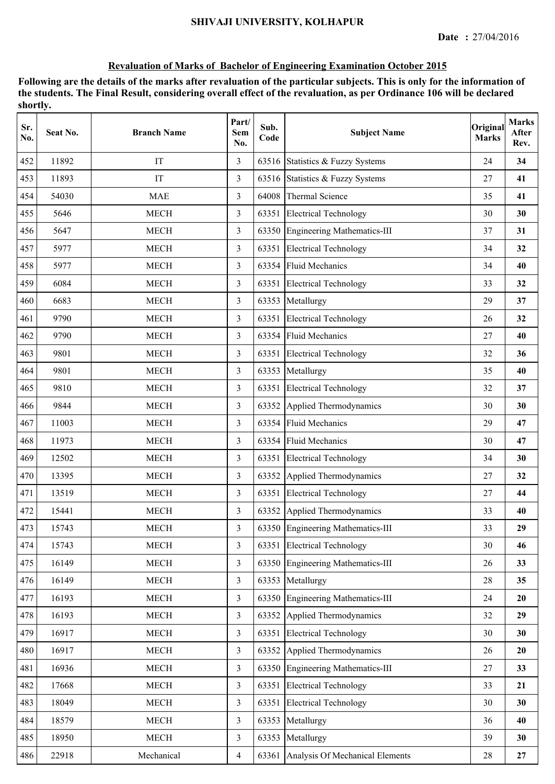| Sr.<br>No. | Seat No. | <b>Branch Name</b> | Part/<br><b>Sem</b><br>No. | Sub.<br>Code | <b>Subject Name</b>                | Original<br><b>Marks</b> | <b>Marks</b><br>After<br>Rev. |
|------------|----------|--------------------|----------------------------|--------------|------------------------------------|--------------------------|-------------------------------|
| 452        | 11892    | IT                 | 3                          |              | 63516 Statistics & Fuzzy Systems   | 24                       | 34                            |
| 453        | 11893    | IT                 | 3                          |              | 63516 Statistics & Fuzzy Systems   | 27                       | 41                            |
| 454        | 54030    | <b>MAE</b>         | 3                          | 64008        | Thermal Science                    | 35                       | 41                            |
| 455        | 5646     | <b>MECH</b>        | 3                          |              | 63351 Electrical Technology        | 30                       | 30                            |
| 456        | 5647     | <b>MECH</b>        | 3                          |              | 63350 Engineering Mathematics-III  | 37                       | 31                            |
| 457        | 5977     | <b>MECH</b>        | 3                          | 63351        | <b>Electrical Technology</b>       | 34                       | 32                            |
| 458        | 5977     | <b>MECH</b>        | 3                          | 63354        | <b>Fluid Mechanics</b>             | 34                       | 40                            |
| 459        | 6084     | <b>MECH</b>        | 3                          | 63351        | <b>Electrical Technology</b>       | 33                       | 32                            |
| 460        | 6683     | <b>MECH</b>        | 3                          | 63353        | Metallurgy                         | 29                       | 37                            |
| 461        | 9790     | <b>MECH</b>        | 3                          | 63351        | <b>Electrical Technology</b>       | 26                       | 32                            |
| 462        | 9790     | <b>MECH</b>        | $\overline{3}$             |              | 63354 Fluid Mechanics              | 27                       | 40                            |
| 463        | 9801     | <b>MECH</b>        | 3                          |              | 63351 Electrical Technology        | 32                       | 36                            |
| 464        | 9801     | <b>MECH</b>        | 3                          |              | 63353 Metallurgy                   | 35                       | 40                            |
| 465        | 9810     | <b>MECH</b>        | 3                          | 63351        | <b>Electrical Technology</b>       | 32                       | 37                            |
| 466        | 9844     | <b>MECH</b>        | 3                          | 63352        | Applied Thermodynamics             | 30                       | 30                            |
| 467        | 11003    | <b>MECH</b>        | 3                          | 63354        | <b>Fluid Mechanics</b>             | 29                       | 47                            |
| 468        | 11973    | <b>MECH</b>        | 3                          | 63354        | <b>Fluid Mechanics</b>             | 30                       | 47                            |
| 469        | 12502    | <b>MECH</b>        | 3                          | 63351        | <b>Electrical Technology</b>       | 34                       | 30                            |
| 470        | 13395    | <b>MECH</b>        | 3                          | 63352        | Applied Thermodynamics             | 27                       | 32                            |
| 471        | 13519    | <b>MECH</b>        | 3                          |              | 63351 Electrical Technology        | 27                       | 44                            |
| 472        | 15441    | <b>MECH</b>        | 3                          |              | 63352 Applied Thermodynamics       | 33                       | 40                            |
| 473        | 15743    | <b>MECH</b>        | 3                          |              | 63350 Engineering Mathematics-III  | 33                       | 29                            |
| 474        | 15743    | <b>MECH</b>        | $\overline{3}$             | 63351        | <b>Electrical Technology</b>       | 30                       | 46                            |
| 475        | 16149    | <b>MECH</b>        | 3                          | 63350        | <b>Engineering Mathematics-III</b> | 26                       | 33                            |
| 476        | 16149    | <b>MECH</b>        | $\overline{3}$             | 63353        | Metallurgy                         | 28                       | 35                            |
| 477        | 16193    | <b>MECH</b>        | $\overline{3}$             |              | 63350 Engineering Mathematics-III  | 24                       | 20                            |
| 478        | 16193    | <b>MECH</b>        | $\overline{3}$             | 63352        | Applied Thermodynamics             | 32                       | 29                            |
| 479        | 16917    | <b>MECH</b>        | $\overline{3}$             | 63351        | <b>Electrical Technology</b>       | 30                       | 30                            |
| 480        | 16917    | <b>MECH</b>        | $\overline{3}$             | 63352        | Applied Thermodynamics             | 26                       | 20                            |
| 481        | 16936    | <b>MECH</b>        | $\overline{3}$             | 63350        | <b>Engineering Mathematics-III</b> | 27                       | 33                            |
| 482        | 17668    | <b>MECH</b>        | $\overline{3}$             | 63351        | <b>Electrical Technology</b>       | 33                       | 21                            |
| 483        | 18049    | <b>MECH</b>        | 3                          | 63351        | <b>Electrical Technology</b>       | 30                       | 30                            |
| 484        | 18579    | <b>MECH</b>        | $\overline{3}$             | 63353        | Metallurgy                         | 36                       | 40                            |
| 485        | 18950    | <b>MECH</b>        | $\overline{3}$             | 63353        | Metallurgy                         | 39                       | 30                            |
| 486        | 22918    | Mechanical         | $\overline{4}$             | 63361        | Analysis Of Mechanical Elements    | 28                       | 27                            |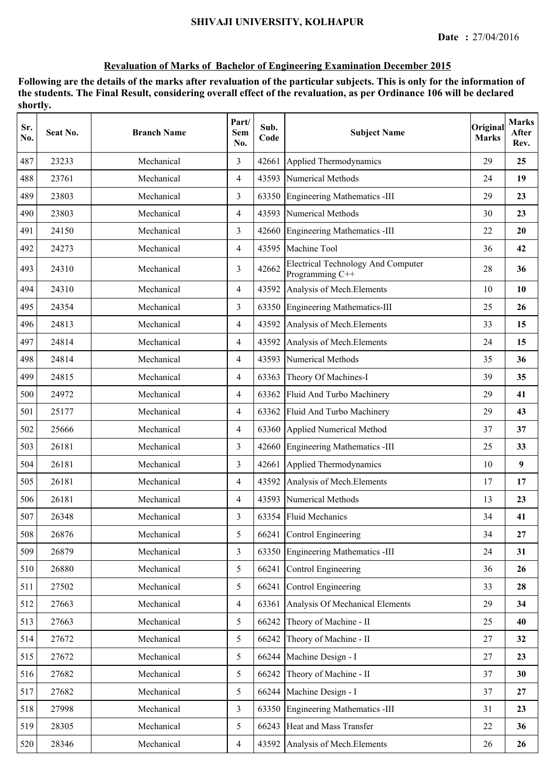| Sr.<br>No. | Seat No. | <b>Branch Name</b> | Part/<br>Sem<br>No. | Sub.<br>Code | <b>Subject Name</b>                                          | Original<br><b>Marks</b> | <b>Marks</b><br>After<br>Rev. |
|------------|----------|--------------------|---------------------|--------------|--------------------------------------------------------------|--------------------------|-------------------------------|
| 487        | 23233    | Mechanical         | 3                   | 42661        | Applied Thermodynamics                                       | 29                       | 25                            |
| 488        | 23761    | Mechanical         | 4                   |              | 43593 Numerical Methods                                      | 24                       | 19                            |
| 489        | 23803    | Mechanical         | 3                   | 63350        | Engineering Mathematics -III                                 | 29                       | 23                            |
| 490        | 23803    | Mechanical         | $\overline{4}$      | 43593        | Numerical Methods                                            | 30                       | 23                            |
| 491        | 24150    | Mechanical         | 3                   | 42660        | <b>Engineering Mathematics -III</b>                          | 22                       | 20                            |
| 492        | 24273    | Mechanical         | $\overline{4}$      |              | 43595 Machine Tool                                           | 36                       | 42                            |
| 493        | 24310    | Mechanical         | 3                   | 42662        | <b>Electrical Technology And Computer</b><br>Programming C++ | 28                       | 36                            |
| 494        | 24310    | Mechanical         | 4                   | 43592        | Analysis of Mech. Elements                                   | 10                       | 10                            |
| 495        | 24354    | Mechanical         | 3                   | 63350        | Engineering Mathematics-III                                  | 25                       | 26                            |
| 496        | 24813    | Mechanical         | $\overline{4}$      | 43592        | Analysis of Mech. Elements                                   | 33                       | 15                            |
| 497        | 24814    | Mechanical         | $\overline{4}$      | 43592        | Analysis of Mech. Elements                                   | 24                       | 15                            |
| 498        | 24814    | Mechanical         | $\overline{4}$      |              | 43593 Numerical Methods                                      | 35                       | 36                            |
| 499        | 24815    | Mechanical         | $\overline{4}$      | 63363        | Theory Of Machines-I                                         | 39                       | 35                            |
| 500        | 24972    | Mechanical         | $\overline{4}$      | 63362        | Fluid And Turbo Machinery                                    | 29                       | 41                            |
| 501        | 25177    | Mechanical         | 4                   | 63362        | Fluid And Turbo Machinery                                    | 29                       | 43                            |
| 502        | 25666    | Mechanical         | $\overline{4}$      | 63360        | Applied Numerical Method                                     | 37                       | 37                            |
| 503        | 26181    | Mechanical         | 3                   | 42660        | Engineering Mathematics -III                                 | 25                       | 33                            |
| 504        | 26181    | Mechanical         | 3                   | 42661        | Applied Thermodynamics                                       | 10                       | 9                             |
| 505        | 26181    | Mechanical         | $\overline{4}$      | 43592        | Analysis of Mech. Elements                                   | 17                       | 17                            |
| 506        | 26181    | Mechanical         | $\overline{4}$      |              | 43593 Numerical Methods                                      | 13                       | 23                            |
| 507        | 26348    | Mechanical         | 3                   |              | 63354 Fluid Mechanics                                        | 34                       | 41                            |
| 508        | 26876    | Mechanical         | 5                   |              | 66241 Control Engineering                                    | 34                       | 27                            |
| 509        | 26879    | Mechanical         | $\overline{3}$      |              | 63350 Engineering Mathematics -III                           | 24                       | 31                            |
| 510        | 26880    | Mechanical         | 5                   | 66241        | Control Engineering                                          | 36                       | 26                            |
| 511        | 27502    | Mechanical         | 5                   | 66241        | Control Engineering                                          | 33                       | 28                            |
| 512        | 27663    | Mechanical         | $\overline{4}$      | 63361        | Analysis Of Mechanical Elements                              | 29                       | 34                            |
| 513        | 27663    | Mechanical         | 5                   | 66242        | Theory of Machine - II                                       | 25                       | 40                            |
| 514        | 27672    | Mechanical         | 5                   | 66242        | Theory of Machine - II                                       | $27\,$                   | 32                            |
| 515        | 27672    | Mechanical         | 5                   | 66244        | Machine Design - I                                           | 27                       | 23                            |
| 516        | 27682    | Mechanical         | 5                   | 66242        | Theory of Machine - II                                       | 37                       | 30                            |
| 517        | 27682    | Mechanical         | 5                   | 66244        | Machine Design - I                                           | 37                       | 27                            |
| 518        | 27998    | Mechanical         | $\overline{3}$      | 63350        | Engineering Mathematics -III                                 | 31                       | 23                            |
| 519        | 28305    | Mechanical         | 5                   |              | 66243 Heat and Mass Transfer                                 | 22                       | 36                            |
| 520        | 28346    | Mechanical         | $\overline{4}$      | 43592        | Analysis of Mech. Elements                                   | 26                       | 26                            |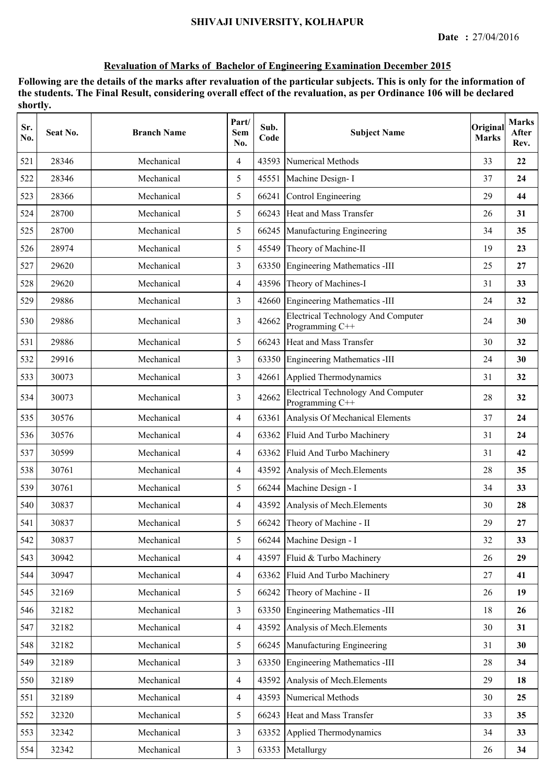| Sr.<br>No. | Seat No. | <b>Branch Name</b> | Part/<br>Sem<br>No. | Sub.<br>Code | <b>Subject Name</b>                                          | Original<br><b>Marks</b> | <b>Marks</b><br>After<br>Rev. |
|------------|----------|--------------------|---------------------|--------------|--------------------------------------------------------------|--------------------------|-------------------------------|
| 521        | 28346    | Mechanical         | $\overline{4}$      | 43593        | <b>Numerical Methods</b>                                     | 33                       | 22                            |
| 522        | 28346    | Mechanical         | 5                   | 45551        | Machine Design-I                                             | 37                       | 24                            |
| 523        | 28366    | Mechanical         | 5                   | 66241        | Control Engineering                                          | 29                       | 44                            |
| 524        | 28700    | Mechanical         | 5                   |              | 66243 Heat and Mass Transfer                                 | 26                       | 31                            |
| 525        | 28700    | Mechanical         | 5                   |              | 66245 Manufacturing Engineering                              | 34                       | 35                            |
| 526        | 28974    | Mechanical         | 5                   | 45549        | Theory of Machine-II                                         | 19                       | 23                            |
| 527        | 29620    | Mechanical         | 3                   |              | 63350 Engineering Mathematics -III                           | 25                       | 27                            |
| 528        | 29620    | Mechanical         | $\overline{4}$      |              | 43596 Theory of Machines-I                                   | 31                       | 33                            |
| 529        | 29886    | Mechanical         | 3                   | 42660        | Engineering Mathematics -III                                 | 24                       | 32                            |
| 530        | 29886    | Mechanical         | 3                   | 42662        | <b>Electrical Technology And Computer</b><br>Programming C++ | 24                       | 30                            |
| 531        | 29886    | Mechanical         | 5                   | 66243        | Heat and Mass Transfer                                       | 30                       | 32                            |
| 532        | 29916    | Mechanical         | 3                   |              | 63350 Engineering Mathematics -III                           | 24                       | 30                            |
| 533        | 30073    | Mechanical         | 3                   | 42661        | Applied Thermodynamics                                       | 31                       | 32                            |
| 534        | 30073    | Mechanical         | 3                   | 42662        | <b>Electrical Technology And Computer</b><br>Programming C++ | 28                       | 32                            |
| 535        | 30576    | Mechanical         | $\overline{4}$      | 63361        | Analysis Of Mechanical Elements                              | 37                       | 24                            |
| 536        | 30576    | Mechanical         | $\overline{4}$      | 63362        | Fluid And Turbo Machinery                                    | 31                       | 24                            |
| 537        | 30599    | Mechanical         | $\overline{4}$      | 63362        | Fluid And Turbo Machinery                                    | 31                       | 42                            |
| 538        | 30761    | Mechanical         | $\overline{4}$      | 43592        | Analysis of Mech. Elements                                   | 28                       | 35                            |
| 539        | 30761    | Mechanical         | 5                   |              | 66244 Machine Design - I                                     | 34                       | 33                            |
| 540        | 30837    | Mechanical         | $\overline{4}$      |              | 43592 Analysis of Mech. Elements                             | 30                       | 28                            |
| 541        | 30837    | Mechanical         | 5                   |              | 66242 Theory of Machine - II                                 | 29                       | 27                            |
| 542        | 30837    | Mechanical         | 5                   |              | 66244 Machine Design - I                                     | 32                       | 33                            |
| 543        | 30942    | Mechanical         | $\overline{4}$      |              | 43597 Fluid & Turbo Machinery                                | 26                       | 29                            |
| 544        | 30947    | Mechanical         | $\overline{4}$      | 63362        | Fluid And Turbo Machinery                                    | 27                       | 41                            |
| 545        | 32169    | Mechanical         | 5                   | 66242        | Theory of Machine - II                                       | 26                       | 19                            |
| 546        | 32182    | Mechanical         | $\overline{3}$      | 63350        | Engineering Mathematics -III                                 | 18                       | 26                            |
| 547        | 32182    | Mechanical         | $\overline{4}$      |              | 43592 Analysis of Mech. Elements                             | 30                       | 31                            |
| 548        | 32182    | Mechanical         | 5                   |              | 66245 Manufacturing Engineering                              | 31                       | 30                            |
| 549        | 32189    | Mechanical         | 3                   |              | 63350 Engineering Mathematics -III                           | 28                       | 34                            |
| 550        | 32189    | Mechanical         | $\overline{4}$      | 43592        | Analysis of Mech. Elements                                   | 29                       | 18                            |
| 551        | 32189    | Mechanical         | $\overline{4}$      | 43593        | Numerical Methods                                            | 30                       | 25                            |
| 552        | 32320    | Mechanical         | 5                   | 66243        | Heat and Mass Transfer                                       | 33                       | 35                            |
| 553        | 32342    | Mechanical         | $\overline{3}$      | 63352        | Applied Thermodynamics                                       | 34                       | 33                            |
| 554        | 32342    | Mechanical         | $\mathfrak{Z}$      |              | 63353 Metallurgy                                             | 26                       | 34                            |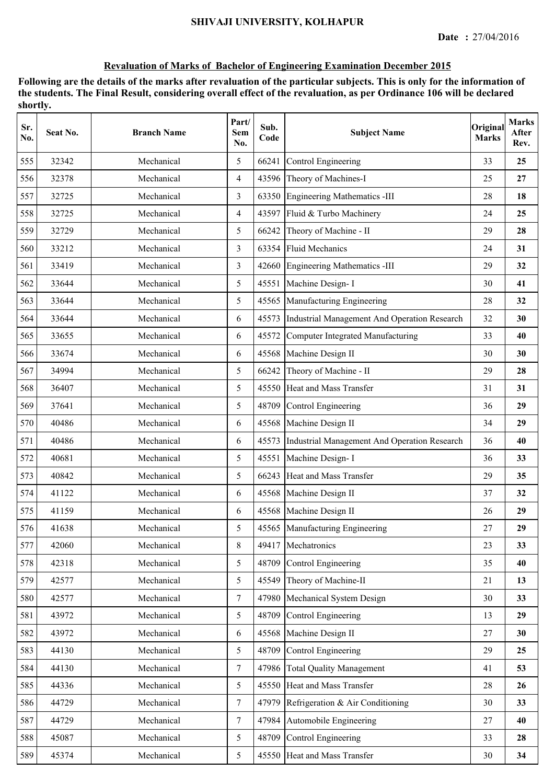| Sr.<br>No. | Seat No. | <b>Branch Name</b> | Part/<br>Sem<br>No. | Sub.<br>Code | <b>Subject Name</b>                          | Original<br><b>Marks</b> | <b>Marks</b><br>After<br>Rev. |
|------------|----------|--------------------|---------------------|--------------|----------------------------------------------|--------------------------|-------------------------------|
| 555        | 32342    | Mechanical         | 5                   | 66241        | Control Engineering                          | 33                       | 25                            |
| 556        | 32378    | Mechanical         | $\overline{4}$      |              | 43596 Theory of Machines-I                   | 25                       | 27                            |
| 557        | 32725    | Mechanical         | 3                   |              | 63350 Engineering Mathematics -III           | 28                       | 18                            |
| 558        | 32725    | Mechanical         | $\overline{4}$      |              | 43597 Fluid & Turbo Machinery                | 24                       | 25                            |
| 559        | 32729    | Mechanical         | 5                   | 66242        | Theory of Machine - II                       | 29                       | 28                            |
| 560        | 33212    | Mechanical         | 3                   | 63354        | <b>Fluid Mechanics</b>                       | 24                       | 31                            |
| 561        | 33419    | Mechanical         | 3                   | 42660        | Engineering Mathematics -III                 | 29                       | 32                            |
| 562        | 33644    | Mechanical         | 5                   | 45551        | Machine Design- I                            | 30                       | 41                            |
| 563        | 33644    | Mechanical         | 5                   | 45565        | Manufacturing Engineering                    | 28                       | 32                            |
| 564        | 33644    | Mechanical         | 6                   | 45573        | Industrial Management And Operation Research | 32                       | 30                            |
| 565        | 33655    | Mechanical         | 6                   | 45572        | Computer Integrated Manufacturing            | 33                       | 40                            |
| 566        | 33674    | Mechanical         | 6                   |              | 45568 Machine Design II                      | 30                       | 30                            |
| 567        | 34994    | Mechanical         | 5                   | 66242        | Theory of Machine - II                       | 29                       | 28                            |
| 568        | 36407    | Mechanical         | 5                   | 45550        | Heat and Mass Transfer                       | 31                       | 31                            |
| 569        | 37641    | Mechanical         | 5                   | 48709        | Control Engineering                          | 36                       | 29                            |
| 570        | 40486    | Mechanical         | 6                   |              | 45568 Machine Design II                      | 34                       | 29                            |
| 571        | 40486    | Mechanical         | 6                   | 45573        | Industrial Management And Operation Research | 36                       | 40                            |
| 572        | 40681    | Mechanical         | 5                   | 45551        | Machine Design- I                            | 36                       | 33                            |
| 573        | 40842    | Mechanical         | 5                   | 66243        | Heat and Mass Transfer                       | 29                       | 35                            |
| 574        | 41122    | Mechanical         | 6                   |              | 45568 Machine Design II                      | 37                       | 32                            |
| 575        | 41159    | Mechanical         | 6                   | 45568        | Machine Design II                            | 26                       | 29                            |
| 576        | 41638    | Mechanical         | 5                   |              | 45565 Manufacturing Engineering              | 27                       | 29                            |
| 577        | 42060    | Mechanical         | $8\,$               | 49417        | Mechatronics                                 | 23                       | 33                            |
| 578        | 42318    | Mechanical         | 5                   | 48709        | Control Engineering                          | 35                       | 40                            |
| 579        | 42577    | Mechanical         | 5                   | 45549        | Theory of Machine-II                         | 21                       | 13                            |
| 580        | 42577    | Mechanical         | $\overline{7}$      | 47980        | Mechanical System Design                     | 30                       | 33                            |
| 581        | 43972    | Mechanical         | 5                   | 48709        | Control Engineering                          | 13                       | 29                            |
| 582        | 43972    | Mechanical         | 6                   |              | 45568 Machine Design II                      | 27                       | 30                            |
| 583        | 44130    | Mechanical         | 5                   | 48709        | Control Engineering                          | 29                       | 25                            |
| 584        | 44130    | Mechanical         | $\overline{7}$      | 47986        | <b>Total Quality Management</b>              | 41                       | 53                            |
| 585        | 44336    | Mechanical         | 5                   |              | 45550 Heat and Mass Transfer                 | 28                       | 26                            |
| 586        | 44729    | Mechanical         | $\tau$              | 47979        | Refrigeration & Air Conditioning             | 30                       | 33                            |
| 587        | 44729    | Mechanical         | $\overline{7}$      | 47984        | Automobile Engineering                       | 27                       | 40                            |
| 588        | 45087    | Mechanical         | 5                   | 48709        | Control Engineering                          | 33                       | 28                            |
| 589        | 45374    | Mechanical         | 5                   |              | 45550 Heat and Mass Transfer                 | 30                       | 34                            |